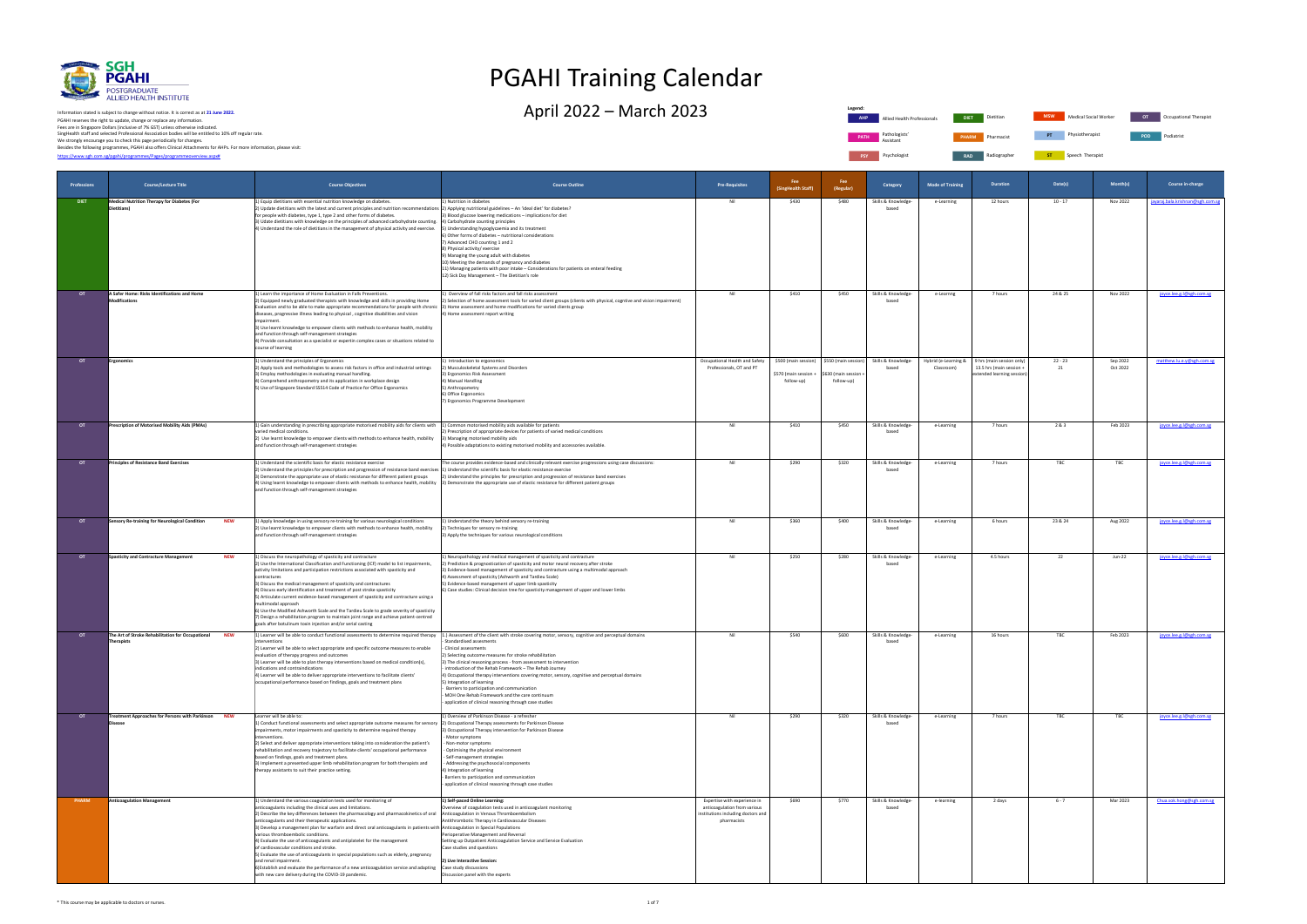| Professions | <b>Course/Lecture Title</b>                                                          | <b>Course Objectives</b>                                                                                                                                                                                                                                                                                                                                                                                                                                                                                                                                                                                                                                                                                                                                                                                                                                  | <b>Course Outline</b>                                                                                                                                                                                                                                                                                                                                                                                                                                                                                                                                                                                                                                                                                                                           | <b>Pre-Requisites</b>                                                                                             | Fee<br>(SingHealth Staff)           | Fee<br>(Regular)                  | Category                                                               | <b>Mode of Training</b>            | <b>Duration</b>                                                                     | Date(s)         | Month(s)             | Course in-charge                 |
|-------------|--------------------------------------------------------------------------------------|-----------------------------------------------------------------------------------------------------------------------------------------------------------------------------------------------------------------------------------------------------------------------------------------------------------------------------------------------------------------------------------------------------------------------------------------------------------------------------------------------------------------------------------------------------------------------------------------------------------------------------------------------------------------------------------------------------------------------------------------------------------------------------------------------------------------------------------------------------------|-------------------------------------------------------------------------------------------------------------------------------------------------------------------------------------------------------------------------------------------------------------------------------------------------------------------------------------------------------------------------------------------------------------------------------------------------------------------------------------------------------------------------------------------------------------------------------------------------------------------------------------------------------------------------------------------------------------------------------------------------|-------------------------------------------------------------------------------------------------------------------|-------------------------------------|-----------------------------------|------------------------------------------------------------------------|------------------------------------|-------------------------------------------------------------------------------------|-----------------|----------------------|----------------------------------|
| <b>DIET</b> | <b>Medical Nutrition Therapy for Diabetes (For</b><br>Dietitians)                    | 1) Equip dietitians with essential nutrition knowledge on diabetes.<br>2) Update dietitians with the latest and current principles and nutrition recommendations 2) Applying nutritional guidelines - An 'ideal diet' for diabetes?<br>for people with diabetes, type 1, type 2 and other forms of diabetes.<br>3) Udate dietitians with knowledge on the principles of advanced carbohydrate counting.<br>4) Understand the role of dietitians in the management of physical activity and exercise.                                                                                                                                                                                                                                                                                                                                                      | 1) Nutrition in diabetes<br>3) Blood glucose lowering medications - implications for diet<br>4) Carbohydrate counting principles<br>5) Understanding hypoglycaemia and its treatment<br>5) Other forms of diabetes - nutritional considerations<br>) Advanced CHO counting 1 and 2<br>3) Physical activity/exercise<br>) Managing the young adult with diabetes<br>10) Meeting the demands of pregnancy and diabetes<br>11) Managing patients with poor intake - Considerations for patients on enteral feeding<br>12) Sick Day Management - The Dietitian's role                                                                                                                                                                               | Nil                                                                                                               | \$430                               | \$480                             | Skills & Knowledge-<br>based                                           | e-Learning                         | 12 hours                                                                            | $10 - 17$       | Nov 2022             | jayaraj.bala.krishnan@sgh.com.sg |
| <b>OT</b>   | A Safer Home: Risks Identifications and Home<br>Modifications                        | 1) Learn the importance of Home Evaluation in Falls Preventions.<br>2) Equipped newly graduated therapists with knowledge and skills in providing Home<br>Evaluation and to be able to make appropriate recommendations for people with chronic  3) Home assessment and home modifications for varied clients group<br>diseases, progressive illness leading to physical, cognitive disabilities and vision<br>mpairment<br>3) Use learnt knowledge to empower clients with methods to enhance health, mobility<br>and function through self-management strategies<br>4) Provide consultation as a specialist or expertin complex cases or situations related to<br>course of learning                                                                                                                                                                    | L) Overview of fall risks factors and fall risks assessment<br>2) Selection of home assessment tools for varied client groups (clients with physical, cogntive and vision impairment)<br>4) Home assessment report writing                                                                                                                                                                                                                                                                                                                                                                                                                                                                                                                      | Nil                                                                                                               | \$410                               | \$450                             | Skills & Knowledge-<br>based                                           | e-Learnng                          | 7 hours                                                                             | 24 & 25         | Nov 2022             | joyce.lee.g.l@sgh.com.sg         |
| <b>OT</b>   | <b>Ergonomics</b>                                                                    | 1) Understand the principles of Ergonomics<br>2) Apply tools and methodologies to assess risk factors in office and industrial settings<br>3) Employ methodologies in evaluating manual handling.<br>4) Comprehend anthropometry and its application in workplace design<br>5) Use of Singapore Standard SS514 Code of Practice for Office Ergonomics                                                                                                                                                                                                                                                                                                                                                                                                                                                                                                     | ) Introduction to ergonomics<br>2) Musculoskeletal Systems and Disorders<br>3) Ergonomics Risk Assessment<br>4) Manual Handling<br>5) Anthropometry<br>6) Office Ergonomics<br>7) Ergonomics Programme Development                                                                                                                                                                                                                                                                                                                                                                                                                                                                                                                              | Occupational Health and Safety<br>Professionals, OT and PT                                                        | \$570 (main session +<br>follow-up) | 630 (main session -<br>follow-up) | \$500 (main session) \$550 (main session) Skills & Knowledge-<br>based | Hybrid (e-Learning &<br>Classroom) | 9 hrs (main session only)<br>13.5 hrs (main session +<br>extended learning session) | $22 - 23$<br>21 | Sep 2022<br>Oct 2022 | matthew.lu.e.y@sgh.com.sg        |
| <b>OT</b>   | Prescription of Motorised Mobility Aids (PMAs)                                       | 1) Gain understanding in prescribing appropriate motorised mobility aids for clients with 1) Common motorised mobility aids available for patients<br>varied medical conditions.<br>2) Use learnt knowledge to empower clients with methods to enhance health, mobility<br>and function through self-management strategies                                                                                                                                                                                                                                                                                                                                                                                                                                                                                                                                | 2) Prescription of appropriate devices for patients of varied medical conditions<br>3) Managing motorised mobility aids<br>4) Possible adaptations to existing motorised mobility and accessories available.                                                                                                                                                                                                                                                                                                                                                                                                                                                                                                                                    | Nil                                                                                                               | \$410                               | \$450                             | Skills & Knowledge-<br>based                                           | e-Learning                         | 7 hours                                                                             | 2& 3            | Feb 2023             | joyce.lee.g.l@sgh.com.sg         |
| <b>OT</b>   | <b>Principles of Resistance Band Exercises</b>                                       | 1) Understand the scientific basis for elastic resistance exercise<br>2) Understand the principles for prescription and progression of resistance band exercises [1] Understand the scientific basis for elastic resistance exercise<br>3) Demonstrate the appropriate use of elastic resistance for different patient groups<br>4) Using learnt knowledge to empower clients with methods to enhance health, mobility<br>and function through self-management strategies                                                                                                                                                                                                                                                                                                                                                                                 | The course provides evidence-based and clinically relevant exercise progressions using case discussions:<br>2) Understand the principles for prescription and progression of resistance band exercises<br>3) Demonstrate the appropriate use of elastic resistance for different patient groups                                                                                                                                                                                                                                                                                                                                                                                                                                                 | Nil                                                                                                               | \$290                               | \$320                             | Skills & Knowledge-<br>based                                           | e-Learning                         | 7 hours                                                                             | TBC             | TBC                  | joyce.lee.g.l@sgh.com.sg         |
|             | <b>Sensory Re-training for Neurological Condition</b><br><b>NEW</b>                  | 1) Apply knowledge in using sensory re-training for various neurological conditions<br>2) Use learnt knowledge to empower clients with methods to enhance health, mobility<br>and function through self-management strategies                                                                                                                                                                                                                                                                                                                                                                                                                                                                                                                                                                                                                             | 1) Understand the theory behind sensory re-training<br>2) Techniques for sensory re-training<br>3) Apply the techniques for various neurological conditions                                                                                                                                                                                                                                                                                                                                                                                                                                                                                                                                                                                     | Nil                                                                                                               | \$360                               | \$400                             | Skills & Knowledge-<br>based                                           | e-Learning                         | 6 hours                                                                             | 23 & 24         | Aug 2022             | joyce.lee.g.l@sgh.com.sg         |
| <b>OT</b>   | <b>Spasticity and Contracture Management</b><br><b>NEW</b>                           | 1) Discuss the neuropathology of spasticity and contracture<br>2) Use the International Classification and Functioning (ICF) model to list impairments,<br>activity limitations and participation restrictions associated with spasticity and<br>contractures<br>3) Discuss the medical management of spasticity and contractures<br>4) Discuss early identification and treatment of post stroke spasticity<br>5) Articulate current evidence-based management of spasticity and contracture using a<br>multimodal approach<br>6) Use the Modified Ashworth Scale and the Tardieu Scale to grade severity of spasticity<br>7) Design a rehabilitation program to maintain joint range and achieve patient-centred<br>goals after botulinum toxin injection and/or serial casting                                                                         | L) Neuropathology and medical management of spasticity and contracture<br>2) Prediction & prognostication of spasticity and motor neural recovery after stroke<br>3) Evidence-based management of spasticity and contracture using a multimodal approach<br>4) Assessment of spasticity (Ashworth and Tardieu Scale)<br>5) Evidence-based management of upper limb spasticity<br>6) Case studies: Clinical decision tree for spasticity management of upper and lower limbs                                                                                                                                                                                                                                                                     | Nil                                                                                                               | \$250                               | \$280                             | Skills & Knowledge-<br>based                                           | e-Learning                         | 4.5 hours                                                                           | 22              | $Jun-22$             | joyce.lee.g.l@sgh.com.sg         |
| OT          | The Art of Stroke Rehabilitation for Occupational<br><b>NEW</b><br><b>Therapists</b> | interventions<br>2) Learner will be able to select appropriate and specific outcome measures to enable<br>evaluation of therapy progress and outcomes<br>3) Learner will be able to plan therapy interventions based on medical condition(s),<br>indications and contraindications<br>4) Learner will be able to deliver appropriate interventions to facilitate clients'<br>occupational performance based on findings, goals and treatment plans                                                                                                                                                                                                                                                                                                                                                                                                        | 1) Learner will be able to conduct functional assessments to determine required therapy  1.) Assessment of the client with stroke covering motor, sensory, cognitive and perceptual domains<br>- Standardised assesments<br>- Clinical assessments<br>2) Selecting outcome measures for stroke rehabilitation<br>3) The clinical reasoning process - from assessment to intervention<br>introduction of the Rehab Framework - The Rehab Journey<br>4) Occupational therapy interventions covering motor, sensory, cognitive and perceptual domains<br>5) Integration of learning<br>- Barriers to participation and communication<br>- MOH One Rehab Framework and the care continuum<br>application of clinical reasoning through case studies | Nil                                                                                                               | \$540                               | \$600                             | Skills & Knowledge-<br>based                                           | e-Learning                         | 16 hours                                                                            | TBC             | Feb 2023             | joyce.lee.g.l@sgh.com.sg         |
| <b>OT</b>   | Treatment Approaches for Persons with Parkinson<br><b>NEW</b><br><b>Disease</b>      | Learner will be able to:<br>1) Conduct functional assessments and select appropriate outcome measures for sensory<br>impairments, motor impairments and spasticity to determine required therapy<br>interventions.<br>2) Select and deliver appropriate interventions taking into consideration the patient's<br>rehabilitation and recovery trajectory to facilitate clients' occupational performance<br>based on findings, goals and treatment plans.<br>3) Implement a presented upper limb rehabilitation program for both therapists and<br>therapy assistants to suit their practice setting.                                                                                                                                                                                                                                                      | 1) Overview of Parkinson Disease - a refresher<br>2) Occupational Therapy assessments for Parkinson Disease<br>3) Occupational Therapy intervention for Parkinson Disease<br>- Motor symptoms<br>- Non-motor symptoms<br>- Optimising the physical environment<br>- Self-management strategies<br>- Addressing the psychosocial components<br>4) Integration of learning<br>Barriers to participation and communication<br>application of clinical reasoning through case studies                                                                                                                                                                                                                                                               | Nil                                                                                                               | \$290                               | \$320                             | Skills & Knowledge-<br>based                                           | e-Learning                         | 7 hours                                                                             | TBC             | TBC                  | joyce.lee.g.l@sgh.com.sg         |
| PHARM       | <b>Anticoagulation Management</b>                                                    | 1) Understand the various coagulation tests used for monitoring of<br>anticoagulants including the clinical uses and limitations.<br>2) Describe the key differences between the pharmacology and pharmacokinetics of oral<br>anticoagulants and their therapeutic applications.<br>3) Develop a management plan for warfarin and direct oral anticoagulants in patients with Anticoagulation in Special Populations<br>various thromboembolic conditions.<br>4) Evaluate the use of anticoagulants and antiplatelet for the management<br>of cardiovascular conditions and stroke.<br>5) Evaluate the use of anticoagulants in special populations such as elderly, pregnancy<br>and renal impairment.<br>6)Establish and evaluate the performance of a new anticoagulation service and adapting<br>with new care delivery during the COVID-19 pandemic. | 1) Self-paced Online Learning:<br>Overview of coagulation tests used in anticoagulant monitoring<br>Anticoagulation in Venous Thromboembolism<br>Antithrombotic Therapy in Cardiovascular Diseases<br>Perioperative Management and Reversal<br>Setting up Outpatient Anticoagulation Service and Service Evaluation<br>Case studies and questions<br>2) Live Interactive Session:<br>Case study discussions<br>Discussion panel with the experts                                                                                                                                                                                                                                                                                                | Expertise with experience in<br>anticoagulation from various<br>institutions including doctors and<br>pharmacists | \$690                               | \$770                             | Skills & Knowledge-<br>based                                           | e-learning                         | 2 days                                                                              | $6 - 7$         | Mar 2023             | Chua.sok.hong@sgh.com.sg         |



[https://www.sgh.com.sg/pgahi/programmes/Pages/programmeoverview.aspx#](https://www.sgh.com.sg/pgahi/programmes/Pages/programmeoverview.aspx) PGAHI reserves the right to update, change or replace any information.<br>Fees are in Singapore Dollars (inclusive of 7% GST) unless otherwise indicated.<br>We strongly encourage you to check this page periodically for changes.<br> Information stated is subject to change without notice. It is correct as at **21 June 2022.**

**Legend: PATH** Pathologists' Assistant **PSY** Psychologist **RAD Radiographer** 

# PGAHI Training Calendar

April 2022 — March 2023 Dietitian Allied Health Professionals Diet Dietitian Mesury Medical Social Worker of Occupational Therapist



**ST** Speech Therapist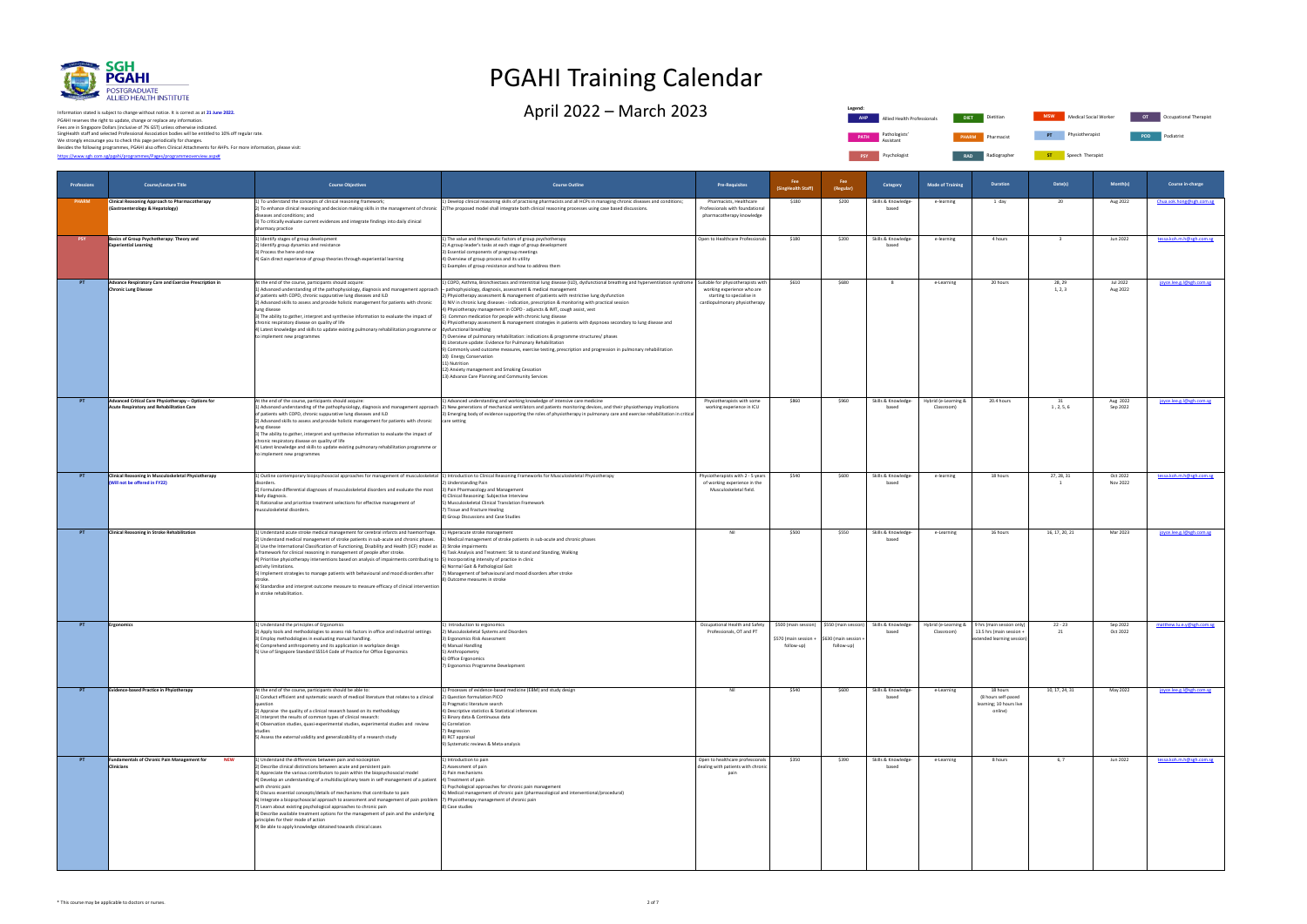

PGAHI reserves the right to update, change or replace any information.<br>Fees are in Singapore Dollars (inclusive of 7% GST) unless otherwise indicated.<br>We strongly encourage you to check this page periodically for changes.<br> Information stated is subject to change without notice. It is correct as at **21 June 2022.**

**PSY** Psychologist **RAD** Radiographer **ST** Speech Therapist **Legend: AHP Allied Health Professionals PATH** Pathologists' Assistant

# PGAHI Training Calendar

 $\Delta$ pril 2022 – March 2023 Dietitian Allied Health Professionals Dietitian Occupational Occupational Occupational Therapistic Occupational Dietitian Occupational Therapistic Occupational Therapistic Occupational Therapist

| <b>DIET</b>  | Dietitian  | <b>MSW</b> | Medical Social Worker | OT         | Occupational Therapist |
|--------------|------------|------------|-----------------------|------------|------------------------|
| <b>PHARM</b> | Pharmacist | PT         | Physiotherapist       | <b>POD</b> | Podiatrist             |

| Professions | <b>Course/Lecture Title</b>                                                                     | <b>Course Objectives</b>                                                                                                                                                                                                                                                                                                                                                                                                                                                                                                                                                                                                                                                                                                                                                                                                                           | <b>Course Outline</b>                                                                                                                                                                                                                                                                                                                                                                                                                                                                                                                                                                                                                                                                                                                                                                                                                                                                                                                                                                                                                                                                                                                | <b>Pre-Requisites</b>                                                                       | <b>Fee</b><br>ingHealth Staff                               | Fee<br>(Regular)                                          | Category                     | <b>Mode of Training</b>            | <b>Duration</b>                                                                     | Date(s)                 | Month(s)                    | Course in-charge          |
|-------------|-------------------------------------------------------------------------------------------------|----------------------------------------------------------------------------------------------------------------------------------------------------------------------------------------------------------------------------------------------------------------------------------------------------------------------------------------------------------------------------------------------------------------------------------------------------------------------------------------------------------------------------------------------------------------------------------------------------------------------------------------------------------------------------------------------------------------------------------------------------------------------------------------------------------------------------------------------------|--------------------------------------------------------------------------------------------------------------------------------------------------------------------------------------------------------------------------------------------------------------------------------------------------------------------------------------------------------------------------------------------------------------------------------------------------------------------------------------------------------------------------------------------------------------------------------------------------------------------------------------------------------------------------------------------------------------------------------------------------------------------------------------------------------------------------------------------------------------------------------------------------------------------------------------------------------------------------------------------------------------------------------------------------------------------------------------------------------------------------------------|---------------------------------------------------------------------------------------------|-------------------------------------------------------------|-----------------------------------------------------------|------------------------------|------------------------------------|-------------------------------------------------------------------------------------|-------------------------|-----------------------------|---------------------------|
| PHARM       | <b>Clinical Reasoning Approach to Pharmacotherapy</b><br>(Gastroenterology & Hepatology)        | 1) To understand the concepts of clinical reasoning framework;<br>diseases and conditions; and<br>3) To critically evaluate current evidences and integrate findings into daily clinical<br>pharmacy practice                                                                                                                                                                                                                                                                                                                                                                                                                                                                                                                                                                                                                                      | 1) Develop clinical reasoning skills of practising pharmacists and all HCPs in managing chronic diseases and conditions;<br>2) To enhance clinical reasoning and decision making skills in the management of chronic 2) The proposed model shall integrate both clinical reasoning processes using case based discussions.                                                                                                                                                                                                                                                                                                                                                                                                                                                                                                                                                                                                                                                                                                                                                                                                           | Pharmacists, Healthcare<br>Professionals with foundational<br>pharmacotherapy knowledge     | \$180                                                       | \$200                                                     | Skills & Knowledge-<br>based | e-learning                         | 1 day                                                                               | 20                      | Aug 2022                    | Chua.sok.hong@sgh.com.sg  |
| <b>PSY</b>  | Basics of Group Psychotherapy: Theory and<br><b>Experiential Learning</b>                       | 1) Identify stages of group development<br>2) Identify group dynamics and resistance<br>3) Process the here-and-now<br>4) Gain direct experience of group theories through experiential learning                                                                                                                                                                                                                                                                                                                                                                                                                                                                                                                                                                                                                                                   | 1) The value and therapeutic factors of group psychotherapy<br>2) A group leader's tasks at each stage of group development<br>3) Essential components of pregroup meetings<br>4) Overview of group process and its utility<br>5) Examples of group resistance and how to address them                                                                                                                                                                                                                                                                                                                                                                                                                                                                                                                                                                                                                                                                                                                                                                                                                                               | Open to Healthcare Professionals                                                            | \$180                                                       | \$200                                                     | Skills & Knowledge-<br>based | e-learning                         | 4 hours                                                                             | $\overline{\mathbf{3}}$ | Jun 2022                    | tessa.koh.m.h@sgh.com.sg  |
|             | Advance Respiratory Care and Exercise Prescription in<br><b>Chronic Lung Disease</b>            | At the end of the course, participants should acquire:<br>1) Advanced understanding of the pathophysiology, diagnosis and management approach<br>of patients with COPD, chronic suppurative lung diseases and ILD<br>2) Advanced skills to assess and provide holistic management for patients with chronic<br>lung disease<br>3) The ability to gather, interpret and synthesise information to evaluate the impact of<br>chronic respiratory disease on quality of life<br>4) Latest knowledge and skills to update existing pulmonary rehabilitation programme or<br>to implement new programmes                                                                                                                                                                                                                                                | 1) COPD, Asthma, Bronchiectasis and Interstitial lung disease (ILD), dysfunctional breathing and hyperventilation syndrome Suitable for physiotherapists with<br>- pathophysiology, diagnosis, assessment & medical management<br>2) Physiotherapy assessment & management of patients with restrictive lung dysfunction<br>3) NIV in chronic lung diseases - indication, prescription & monitoring with practical session<br>4) Physiotherapy management in COPD - adjuncts & IMT, cough assist, vest<br>5) Common medication for people with chronic lung disease<br>6) Physiotherapy assessment & management strategies in patients with dyspnoea secondary to lung disease and<br>dysfunctional breathing<br>7) Overview of pulmonary rehabilitation: indications & programme structures/ phases<br>8) Literature update: Evidence for Pulmonary Rehabilitation<br>9) Commonly used outcome measures, exercise testing, prescription and progression in pulmonary rehabilitation<br>10) Energy Conservation<br>11) Nutrition<br>12) Anxiety management and Smoking Cessation<br>13) Advance Care Planning and Community Services | working experience who are<br>starting to specialise in<br>cardiopulmonary physiotherapy    | \$610                                                       | \$680                                                     | - 8                          | e-Learning                         | 20 hours                                                                            | 28, 29<br>1, 2, 3       | <b>Jul 2022</b><br>Aug 2022 | joyce.lee.g.l@sgh.com.sg  |
| PT          | Advanced Critical Care Physiotherapy - Options for<br>Acute Respiratory and Rehabilitation Care | At the end of the course, participants should acquire:<br>of patients with COPD, chronic suppurative lung diseases and ILD<br>2) Advanced skills to assess and provide holistic management for patients with chronic<br>lung disease<br>3) The ability to gather, interpret and synthesise information to evaluate the impact of<br>chronic respiratory disease on quality of life<br>4) Latest knowledge and skills to update existing pulmonary rehabilitation programme or<br>to implement new programmes                                                                                                                                                                                                                                                                                                                                       | 1) Advanced understanding and working knowledge of intensive care medicine<br>1) Advanced understanding of the pathophysiology, diagnosis and management approach 2) New generations of mechanical ventilators and patients monitoring devices, and their physiotherapy implications<br>3) Emerging body of evidence supporting the roles of physiotherapy in pulmonary care and exercise rehabilitation in critical<br>care setting                                                                                                                                                                                                                                                                                                                                                                                                                                                                                                                                                                                                                                                                                                 | Physiotherapists with some<br>working experience in ICU                                     | \$860                                                       | \$960                                                     | Skills & Knowledge-<br>based | Hybrid (e-Learning &<br>Classroom) | 20.4 hours                                                                          | 31<br>1, 2, 5, 6        | Aug 2022<br>Sep 2022        | joyce.lee.g.l@sgh.com.sg  |
| PT          | <b>Clinical Reasoning in Musculoskeletal Physiotherapy</b><br>(Will not be offered in FY22)     | 1) Outline contemporary biopsychosocial approaches for management of musculoskeletal (1) Introduction to Clinical Reasoning Frameworks for Musculoskeletal Physiotherapy<br>disorders<br>2) Formulate differential diagnoses of musculoskeletal disorders and evaluate the most<br>likely diagnosis.<br>3) Rationalise and prioritise treatment selections for effective management of<br>musculoskeletal disorders.                                                                                                                                                                                                                                                                                                                                                                                                                               | 2) Understanding Pain<br>3) Pain Pharmacology and Management<br>4) Clinical Reasoning: Subjective Interview<br>5) Musculoskeletal Clinical Translation Framework<br>7) Tissue and Fracture Healing<br>8) Group Discussions and Case Studies                                                                                                                                                                                                                                                                                                                                                                                                                                                                                                                                                                                                                                                                                                                                                                                                                                                                                          | Physiotherapists with 2 - 5 years<br>of working experience in the<br>Musculoskeletal field. | \$540                                                       | \$600                                                     | Skills & Knowledge-<br>based | e-learning                         | 18 hours                                                                            | 27, 28, 31              | Oct 2022<br>Nov 2022        | tessa.koh.m.h@sgh.com.sg  |
| PT          | <b>Clinical Reasoning in Stroke Rehabilitation</b>                                              | 1) Understand acute stroke medical management for cerebral infarcts and haemorrhage.<br>2) Understand medical management of stroke patients in sub-acute and chronic phases.<br>3) Use the International Classification of Functioning, Disability and Health (ICF) model as 3) Stroke impairments<br>a framework for clinical reasoning in management of people after stroke.<br>4) Prioritise physiotherapy interventions based on analysis of impairments contributing to  5) Incorporating intensity of practice in clinic<br>activity limitations.<br>5) Implement strategies to manage patients with behavioural and mood disorders after<br>6) Standardise and interpret outcome measure to measure efficacy of clinical intervention<br>in stroke rehabilitation.                                                                          | 1) Hyperacute stroke management<br>2) Medical management of stroke patients in sub-acute and chronic phases<br>4) Task Analysis and Treatment: Sit to stand and Standing, Walking<br>) Normal Gait & Pathological Gait<br>7) Management of behavioural and mood disorders after stroke<br>8) Outcome measures in stroke                                                                                                                                                                                                                                                                                                                                                                                                                                                                                                                                                                                                                                                                                                                                                                                                              | Nil                                                                                         | \$500                                                       | \$550                                                     | Skills & Knowledge<br>based  | e-Learning                         | 16 hours                                                                            | 16, 17, 20, 21          | Mar 2023                    | joyce.lee.g.l@sgh.com.sg  |
| PT.         | Ergonomics                                                                                      | 1) Understand the principles of Ergonomics<br>2) Apply tools and methodologies to assess risk factors in office and industrial settings<br>3) Employ methodologies in evaluating manual handling.<br>4) Comprehend anthropometry and its application in workplace design<br>5) Use of Singapore Standard SS514 Code of Practice for Office Ergonomics                                                                                                                                                                                                                                                                                                                                                                                                                                                                                              | 1) Introduction to ergonomics<br>2) Musculoskeletal Systems and Disorders<br>3) Ergonomics Risk Assessment<br>4) Manual Handling<br>5) Anthropometry<br>Office Ergonomics<br>7) Ergonomics Programme Development                                                                                                                                                                                                                                                                                                                                                                                                                                                                                                                                                                                                                                                                                                                                                                                                                                                                                                                     | Occupational Health and Safety<br>Professionals, OT and PT                                  | \$500 (main session)<br>\$570 (main session +<br>follow-up) | \$550 (main session)<br>\$630 (main session<br>follow-up) | Skills & Knowledge-<br>based | Hybrid (e-Learning &<br>Classroom) | 9 hrs (main session only)<br>13.5 hrs (main session +<br>extended learning session) | $22 - 23$<br>21         | Sep 2022<br>Oct 2022        | matthew.lu.e.y@sgh.com.sg |
| PT.         | Evidence-based Practice in Phyiotherapy                                                         | At the end of the course, participants should be able to:<br>1) Conduct efficient and systematic search of medical literature that relates to a clinical<br>question<br>2) Appraise the quality of a clinical research based on its methodology<br>3) Interpret the results of common types of clinical research:<br>4) Observation studies, quasi-experimental studies, experimental studies and review<br>studies<br>5) Assess the external validity and generalizability of a research study                                                                                                                                                                                                                                                                                                                                                    | 1) Processes of evidence-based medicine (EBM) and study design<br>2) Question formulation PICO<br>3) Pragmatic literature search<br>4) Descriptive statistics & Statistical inferences<br>5) Binary data & Continuous data<br>6) Correlation<br>7) Regression<br>8) RCT appraisal<br>9) Systematic reviews & Meta-analysis                                                                                                                                                                                                                                                                                                                                                                                                                                                                                                                                                                                                                                                                                                                                                                                                           | Nil                                                                                         | \$540                                                       | \$600                                                     | Skills & Knowledge-<br>based | e-Learning                         | 18 hours<br>(8 hours self-paced<br>learning; 10 hours live<br>online)               | 10, 17, 24, 31          | May 2022                    | joyce.lee.g.l@sgh.com.sg  |
| PT          | <b>Fundamentals of Chronic Pain Management for</b><br><b>NEW</b><br><b>Clinicians</b>           | 1) Understand the differences between pain and nociception<br>2) Describe clinical distinctions between acute and persistent pain<br>3) Appreciate the various contributors to pain within the biopsychosocial model<br>4) Develop an understanding of a multidisciplinary team in self-management of a patient 4) Treatment of pain<br>with chronic pain<br>5) Discuss essential concepts/details of mechanisms that contribute to pain<br>6) Integrate a biopsychosocial approach to assessment and management of pain problem  7) Physiotherapy management of chronic pain<br>7) Learn about existing psychological approaches to chronic pain<br>8) Describe available treatment options for the management of pain and the underlying<br>principles for their mode of action<br>9) Be able to apply knowledge obtained towards clinical cases | 1) Introduction to pain<br>2) Assessment of pain<br>3) Pain mechanisms<br>5) Psychological approaches for chronic pain management<br>6) Medical management of chronic pain (pharmacological and interventional/procedural)<br>8) Case studies                                                                                                                                                                                                                                                                                                                                                                                                                                                                                                                                                                                                                                                                                                                                                                                                                                                                                        | Open to healthcare professionals<br>dealing with patients with chronic<br>pain              | \$350                                                       | \$390                                                     | Skills & Knowledge-<br>based | e-Learning                         | 8 hours                                                                             | 6, 7                    | Jun 2022                    | tessa.koh.m.h@sgh.com.sg  |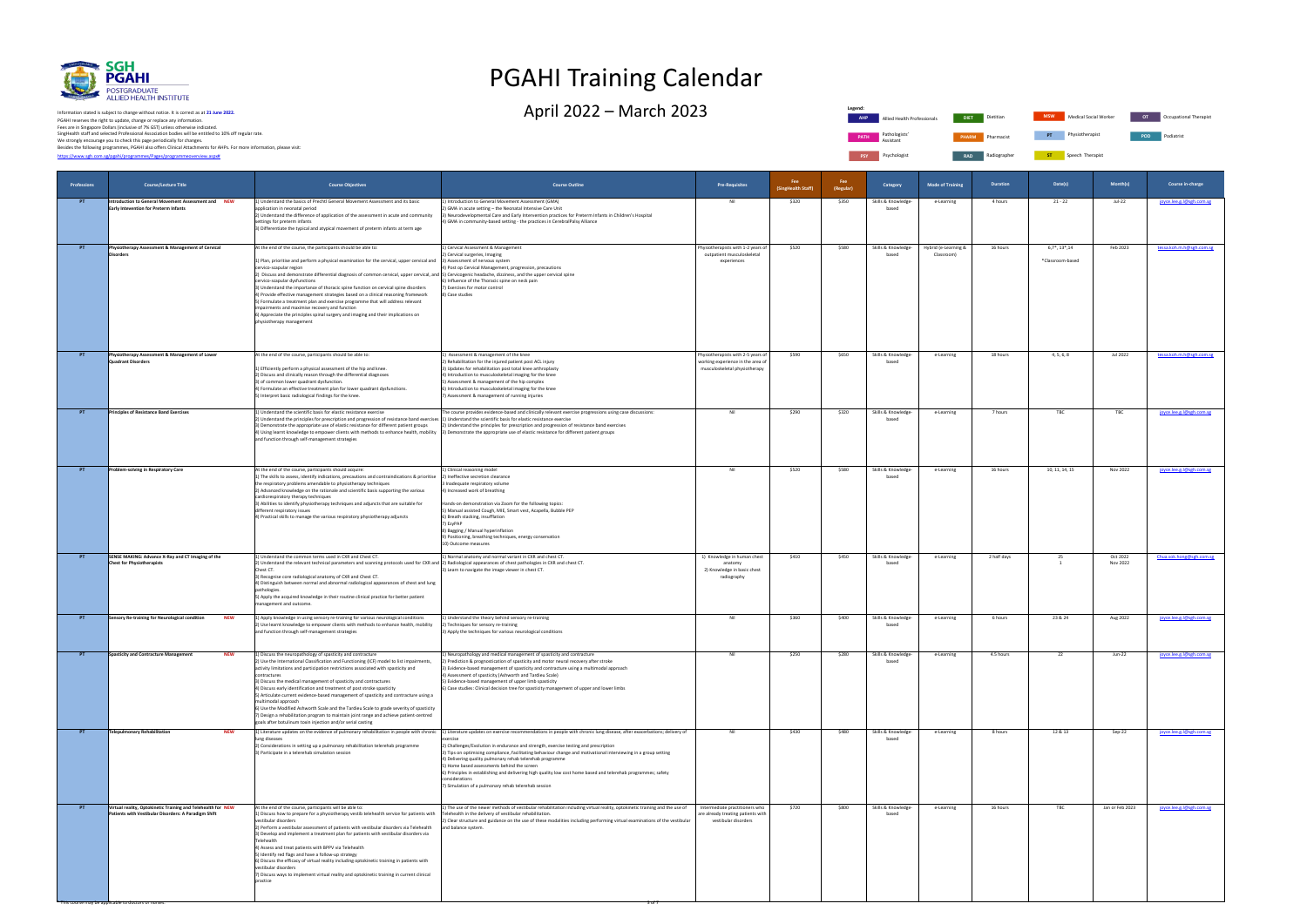

PGAHI reserves the right to update, change or replace any information.<br>Fees are in Singapore Dollars (inclusive of 7% GST) unless otherwise indicated.<br>We strongly encourage you to check this page periodically for changes.<br> Information stated is subject to change without notice. It is correct as at **21 June 2022.**

**Legend: PATH** Pathologists' Assistant **PSY** Psychologist **RAD Radiographer** 

# PGAHI Training Calendar

April 2022 — March 2023 Dietitian Allied Health Professionals Diet Dietitian Mesury Medical Social Worker of Occupational Therapist



**Radiographs** Speech Therapist

| Professions | <b>Course/Lecture Title</b>                                                                                          | <b>Course Objectives</b>                                                                                                                                                                                                                                                                                                                                                                                                                                                                                                                                                                                                                                                                                                                                                                                                  | <b>Course Outline</b>                                                                                                                                                                                                                                                                                                                                                                                                                                                                                                                                                                                                                                                                                                                | <b>Pre-Requisites</b>                                                                                    | Fee<br>(SingHealth Staff) | Fee<br>(Regular) | Category                     | <b>Mode of Training</b>            | <b>Duration</b> | Date(s)                               | Month(s)             | Course in-charge         |
|-------------|----------------------------------------------------------------------------------------------------------------------|---------------------------------------------------------------------------------------------------------------------------------------------------------------------------------------------------------------------------------------------------------------------------------------------------------------------------------------------------------------------------------------------------------------------------------------------------------------------------------------------------------------------------------------------------------------------------------------------------------------------------------------------------------------------------------------------------------------------------------------------------------------------------------------------------------------------------|--------------------------------------------------------------------------------------------------------------------------------------------------------------------------------------------------------------------------------------------------------------------------------------------------------------------------------------------------------------------------------------------------------------------------------------------------------------------------------------------------------------------------------------------------------------------------------------------------------------------------------------------------------------------------------------------------------------------------------------|----------------------------------------------------------------------------------------------------------|---------------------------|------------------|------------------------------|------------------------------------|-----------------|---------------------------------------|----------------------|--------------------------|
| PT          | Introduction to General Movement Assessment and NEW<br>Early Intevention for Preterm Infants                         | 1) Understand the basics of Prechtl General Movement Assessment and its basic<br>application in neonatal period<br>2) Understand the difference of application of the assessment in acute and community<br>settings for preterm infants<br>3) Differentiate the typical and atypical movement of preterm infants at term age                                                                                                                                                                                                                                                                                                                                                                                                                                                                                              | 1) Introduction to General Movement Assessment (GMA)<br>2) GMA in acute setting - the Neonatal Intensive Care Unit<br>3) Neurodevelopmental Care and Early Intervention practices for Preterm Infants in Children's Hospital<br>4) GMA in community-based setting - the practices in CerebralPalsy Alliance                                                                                                                                                                                                                                                                                                                                                                                                                          | Nil                                                                                                      | \$320                     | \$350            | Skills & Knowledge-<br>based | e-Learning                         | 4 hours         | $21 - 22$                             | <b>Jul-22</b>        | joyce.lee.g.l@sgh.com.sg |
| PT.         | Physiotherapy Assessment & Management of Cervical<br><b>Disorders</b>                                                | At the end of the course, the participants should be able to:<br>1) Plan, prioritise and perform a physical examination for the cervical, upper cervical and<br>cervico-scapular region<br>2) Discuss and demonstrate differential diagnosis of common cervical, upper cervical, and S) Cervicogenic headache, dizziness, and the upper cervical spine<br>cervico-scapular dysfunction<br>3) Understand the importance of thoracic spine function on cervical spine disorders<br>4) Provide effective management strategies based on a clinical reasoning framework<br>5) Formulate a treatment plan and exercise programme that will address relevant<br>impairments and maximise recovery and function<br>6) Appreciate the principles spinal surgery and imaging and their implications on<br>physiotherapy management | 1) Cervical Assessment & Management<br>2) Cervical surgeries, Imaging<br>3) Assessment of nervous system<br>4) Post op Cervical Management, progression, precautions<br>6) Influence of the Thoracic spine on neck pain<br>7) Exercises for motor control<br>8) Case studies                                                                                                                                                                                                                                                                                                                                                                                                                                                         | Physiotherapists with 1-2 years of<br>outpatient musculoskeletal<br>experiences                          | \$520                     | \$580            | Skills & Knowledge-<br>based | Hybrid (e-Learning &<br>Classroom) | 16 hours        | $6,7^*, 13^*, 14$<br>*Classroom-based | Feb 2023             | tessa.koh.m.h@sgh.com.sg |
| PT          | Physiotherapy Assessment & Management of Lower<br>Quadrant Disorders                                                 | At the end of the course, participants should be able to:<br>1) Efficiently perform a physical assessment of the hip and knee.<br>2) Discuss and clinically reason through the differential diagnoses<br>3) of common lower quadrant dysfunction.<br>4) Formulate an effective treatment plan for lower quadrant dysfunctions.<br>5) Interpret basic radiological findings for the knee.                                                                                                                                                                                                                                                                                                                                                                                                                                  | 1) Assessment & management of the knee<br>2) Rehabilitation for the injured patient post ACL injury<br>3) Updates for rehabilitation post total knee arthroplasty<br>4) Introduction to musculoskeletal imaging for the knee<br>5) Assessment & management of the hip complex<br>6) Introduction to musculoskeletal imaging for the knee<br>7) Assessment & management of running injuries                                                                                                                                                                                                                                                                                                                                           | Physiotherapists with 2-5 years of<br>working experience in the area of<br>musculoskeletal physiotherapy | \$590                     | \$650            | Skills & Knowledge-<br>based | e-Learning                         | 18 hours        | 4, 5, 6, 8                            | Jul 2022             | tessa.koh.m.h@sgh.com.sg |
| PT.         | <b>Principles of Resistance Band Exercises</b>                                                                       | 1) Understand the scientific basis for elastic resistance exercise<br>2) Understand the principles for prescription and progression of resistance band exercises 1) Understand the scientific basis for elastic resistance exercise<br>3) Demonstrate the appropriate use of elastic resistance for different patient groups<br>4) Using learnt knowledge to empower clients with methods to enhance health, mobility 3) Demonstrate the appropriate use of elastic resistance for different patient groups<br>and function through self-management strategies                                                                                                                                                                                                                                                            | The course provides evidence-based and clinically relevant exercise progressions using case discussions:<br>2) Understand the principles for prescription and progression of resistance band exercises                                                                                                                                                                                                                                                                                                                                                                                                                                                                                                                               | Nil                                                                                                      | \$290                     | \$320            | Skills & Knowledge-<br>based | e-Learning                         | 7 hours         | TBC                                   | TBC                  | joyce.lee.g.l@sgh.com.sg |
| PT          | <b>Problem-solving in Respiratory Care</b>                                                                           | At the end of the course, participants should acquire:<br>1) The skills to assess, identify indications, precautions and contraindications & prioritise<br>the respiratory problems amendable to physiotherapy techniques<br>2) Advanced knowledge on the rationale and scientific basis supporting the various<br>cardiorespiratory therapy techniques<br>3) Abilities to identify physiotherapy techniques and adjuncts that are suitable for<br>different respiratory issues<br>4) Practical skills to manage the various respiratory physiotherapy adjuncts                                                                                                                                                                                                                                                           | 1) Clinical reasoning model<br>2) Ineffective secretion clearance<br>3 Inadequate respiratory volume<br>4) Increased work of breathing<br>Hands-on demonstration via Zoom for the following topics:<br>5) Manual assisted Cough, MIE, Smart vest, Acapella, Bubble PEP<br>6) Breath stacking, insufflation<br>7) EzyPAP<br>8) Bagging / Manual hyperinflation<br>9) Positioning, breathing techniques, energy conservation<br>10) Outcome measures                                                                                                                                                                                                                                                                                   | Nil                                                                                                      | \$520                     | \$580            | Skills & Knowledge-<br>based | e-Learning                         | 16 hours        | 10, 11, 14, 15                        | Nov 2022             | joyce.lee.g.l@sgh.com.sg |
| PT          | SENSE MAKING: Advance X-Ray and CT Imaging of the<br><b>Chest for Physiotherapists</b>                               | 1) Understand the common terms used in CXR and Chest CT.<br>2) Understand the relevant technical parameters and scanning protocols used for CXR and 2) Radiological appearances of chest pathologies in CXR and chest CT.<br>Chest CT.<br>3) Recognise core radiological anatomy of CXR and Chest CT.<br>4) Distinguish between normal and abnormal radiological appearances of chest and lung<br>pathologies.<br>5) Apply the acquired knowledge in their routine clinical practice for better patient<br>management and outcome.                                                                                                                                                                                                                                                                                        | 1) Normal anatomy and normal variant in CXR and chest CT.<br>3) Learn to navigate the image viewer in chest CT.                                                                                                                                                                                                                                                                                                                                                                                                                                                                                                                                                                                                                      | 1) Knowledge in human chest<br>anatomy<br>2) Knowledge in basic chest<br>radiography                     | \$410                     | \$450            | Skills & Knowledge-<br>based | e-Learning                         | 2 half days     | 25<br>$\overline{1}$                  | Oct 2022<br>Nov 2022 | Chua.sok.hong@sgh.com.sg |
| PT          | Sensory Re-training for Neurological condition<br><b>NEW</b>                                                         | 1) Apply knowledge in using sensory re-training for various neurological conditions<br>2) Use learnt knowledge to empower clients with methods to enhance health, mobility<br>and function through self-management strategies                                                                                                                                                                                                                                                                                                                                                                                                                                                                                                                                                                                             | 1) Understand the theory behind sensory re-training<br>2) Techniques for sensory re-training<br>3) Apply the techniques for various neurological conditions                                                                                                                                                                                                                                                                                                                                                                                                                                                                                                                                                                          | Nil                                                                                                      | \$360                     | \$400            | Skills & Knowledge-<br>based | e-Learning                         | 6 hours         | 23 & 24                               | Aug 2022             | joyce.lee.g.l@sgh.com.sg |
| PT          | <b>Spasticity and Contracture Management</b><br><b>NEW</b>                                                           | 1) Discuss the neuropathology of spasticity and contracture<br>2) Use the International Classification and Functioning (ICF) model to list impairments,<br>activity limitations and participation restrictions associated with spasticity and<br>contractures<br>3) Discuss the medical management of spasticity and contractures<br>4) Discuss early identification and treatment of post stroke spasticity<br>5) Articulate current evidence-based management of spasticity and contracture using a<br>multimodal approach<br>6) Use the Modified Ashworth Scale and the Tardieu Scale to grade severity of spasticity<br>7) Design a rehabilitation program to maintain joint range and achieve patient-centred<br>goals after botulinum toxin injection and/or serial casting                                         | 1) Neuropathology and medical management of spasticity and contracture<br>2) Prediction & prognostication of spasticity and motor neural recovery after stroke<br>3) Evidence-based management of spasticity and contracture using a multimodal approach<br>4) Assessment of spasticity (Ashworth and Tardieu Scale)<br>5) Evidence-based management of upper limb spasticity<br>6) Case studies: Clinical decision tree for spasticity management of upper and lower limbs                                                                                                                                                                                                                                                          | Nil                                                                                                      | \$250                     | \$280            | Skills & Knowledge-          | e-Learning                         | 4.5 hours       | 22                                    | Jun-22               | joyce.lee.g.l@sgh.com.sg |
| <b>PT</b>   | Telepulmonary Rehabilitation<br><b>NEW</b>                                                                           | lung diseases<br>2) Considerations in setting up a pulmonary rehabilitation telerehab programme<br>3) Participate in a telerehab simulation session                                                                                                                                                                                                                                                                                                                                                                                                                                                                                                                                                                                                                                                                       | 1) Literature updates on the evidence of pulmonary rehabilitation in people with chronic 1) Literature updates on exercise recommendations in people with chronic lung disease, after exacerbations; delivery of<br>2) Challenges/Evolution in endurance and strength, exercise testing and prescription<br>3) Tips on optimising compliance, facilitating behaviour change and motivational interviewing in a group setting<br>4) Delivering quality pulmonary rehab telerehab programme<br>5) Home based assessments behind the screen<br>6) Principles in establishing and delivering high quality low cost home based and telerehab programmes; safety<br>considerations<br>7) Simulation of a pulmonary rehab telerehab session | Nil                                                                                                      | \$430                     | \$480            | Skills & Knowledge-<br>based | e-Learning                         | 8 hours         | 12 & 13                               | Sep-22               | joyce.lee.g.l@sgh.com.sg |
| PT          | Virtual reality, Optokinetic Training and Telehealth for NEW<br>Patients with Vestibular Disorders: A Paradigm Shift | At the end of the course, participants will be able to:<br>1) Discuss how to prepare for a physiotherapy vestib telehealth service for patients with<br>vestibular disorders<br>2) Perform a vestibular assessment of patients with vestibular disorders via Telehealth<br>3) Develop and implement a treatment plan for patients with vestibular disorders via<br>Telehealth<br>4) Assess and treat patients with BPPV via Telehealth<br>5) Identify red flags and have a follow-up strategy<br>6) Discuss the efficacy of virtual reality including optokinetic training in patients with<br>vestibular disorders<br>7) Discuss ways to implement virtual reality and optokinetic training in current clinical<br>practice                                                                                              | 1) The use of the newer methods of vestibular rehabilitation including virtual reality, optokinetic training and the use of<br>Telehealth in the delivery of vestibular rehabilitation.<br>2) Clear structure and guidance on the use of these modalities including performing virtual examinations of the vestibular<br>and balance system.                                                                                                                                                                                                                                                                                                                                                                                         | Intermediate practitioners who<br>are already treating patients with<br>vestibular disorders             | \$720                     | \$800            | Skills & Knowledge-<br>based | e-Learning                         | 16 hours        | TBC                                   | Jan or Feb 2023      | joyce.lee.g.l@sgh.com.sg |

\* This course may be applicable to doctors or nurses. 3 of 7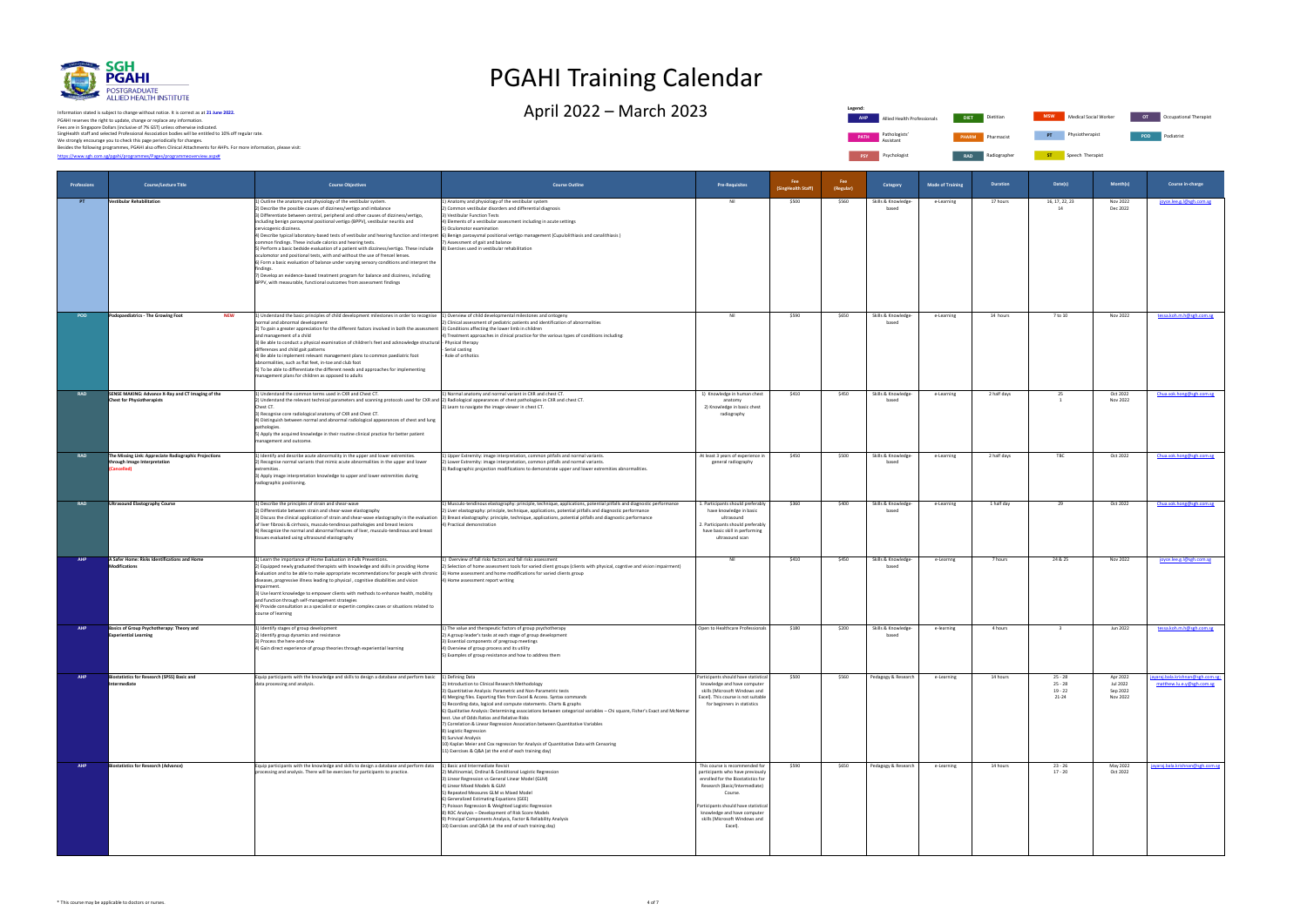

PGAHI reserves the right to update, change or replace any information.<br>Fees are in Singapore Dollars (inclusive of 7% GST) unless otherwise indicated.<br>We strongly encourage you to check this page periodically for changes.<br> Information stated is subject to change without notice. It is correct as at **21 June 2022.**

**Legend: PATH** Pathologists' Assistant **PSY** Psychologist **RAD Radiographer** 

# PGAHI Training Calendar

April 2022 — March 2023 Dietitian Allied Health Professionals Diet Dietitian Mew Medical Social Worker or Occupational Therapist



**ST** Speech Therapist

| Professions | <b>Course/Lecture Title</b>                                                                         | <b>Course Objectives</b>                                                                                                                                                                                                                                                                                                                                                                                                                                                                                                                                                                                                                                                                                                                                                                                                                                                                                                                                                                                                                        | <b>Course Outline</b>                                                                                                                                                                                                                                                                                                                                                                                                                                                                                                                                                                                                                                                                                                                                | <b>Pre-Requisites</b>                                                                                                                                                                                                                                                   | Fee<br>(SingHealth Staff) | Fee<br>(Regular) | Category                     | <b>Mode of Training</b> | <b>Duration</b> | Date(s)                                          | Month(s)                                     | Course in-charge                                               |
|-------------|-----------------------------------------------------------------------------------------------------|-------------------------------------------------------------------------------------------------------------------------------------------------------------------------------------------------------------------------------------------------------------------------------------------------------------------------------------------------------------------------------------------------------------------------------------------------------------------------------------------------------------------------------------------------------------------------------------------------------------------------------------------------------------------------------------------------------------------------------------------------------------------------------------------------------------------------------------------------------------------------------------------------------------------------------------------------------------------------------------------------------------------------------------------------|------------------------------------------------------------------------------------------------------------------------------------------------------------------------------------------------------------------------------------------------------------------------------------------------------------------------------------------------------------------------------------------------------------------------------------------------------------------------------------------------------------------------------------------------------------------------------------------------------------------------------------------------------------------------------------------------------------------------------------------------------|-------------------------------------------------------------------------------------------------------------------------------------------------------------------------------------------------------------------------------------------------------------------------|---------------------------|------------------|------------------------------|-------------------------|-----------------|--------------------------------------------------|----------------------------------------------|----------------------------------------------------------------|
| PT          | Vestibular Rehabilitation                                                                           | 1) Outline the anatomy and physiology of the vestibular system.<br>2) Describe the possible causes of dizziness/vertigo and imbalance<br>3) Differentiate between central, peripheral and other causes of dizziness/vertigo,<br>including benign paroxysmal positional vertigo (BPPV), vestibular neuritis and<br>cervicogenic dizziness.<br>4) Describe typical laboratory-based tests of vestibular and hearing function and interpret 6) Benign paroxysmal positional vertigo management (Cupulolithiasis and canalithiasis)<br>common findings. These include calorics and hearing tests.<br>5) Perform a basic bedside evaluation of a patient with dizziness/vertigo. These include<br>oculomotor and positional tests, with and without the use of frenzel lenses.<br>6) Form a basic evaluation of balance under varying sensory conditions and interpret the<br>findines<br>7) Develop an evidence-based treatment program for balance and dizziness, including<br>BPPV, with measurable, functional outcomes from assessment findings | 1) Anatomy and physiology of the vestibular system<br>2) Common vestibular disorders and differential diagnosis<br>3) Vestibular Function Tests<br>4) Elements of a vestibular assessment including in acute settings<br>5) Oculomotor examination<br>) Assessment of gait and balance<br>8) Exercises used in vestibular rehabilitation                                                                                                                                                                                                                                                                                                                                                                                                             | Nil                                                                                                                                                                                                                                                                     | \$500                     | \$560            | Skills & Knowledge-<br>based | e-Learning              | 17 hours        | 16, 17, 22, 23<br>14                             | Nov 2022<br>Dec 2022                         | joyce.lee.g.l@sgh.com.sg                                       |
| <b>POD</b>  | Podopaediatrics - The Growing Foot<br><b>NEW</b>                                                    | 1) Understand the basic principles of child development milestones in order to recognise [1] Overview of child developmental milestones and ontogeny<br>normal and abnormal development<br>2) To gain a greater appreciation for the different factors involved in both the assessment  3) Conditions affecting the lower limb in children<br>and management of a child<br>3) Be able to conduct a physical examination of children's feet and acknowledge structural - Physical therapy<br>differences and child gait patterns<br>4) Be able to implement relevant management plans to common paediatric foot<br>abnormalities, such as flat feet, in-toe and club foot<br>5) To be able to differentiate the different needs and approaches for implementing<br>management plans for children as opposed to adults                                                                                                                                                                                                                            | 2) Clinical assessment of pediatric patients and identification of abnormalities<br>4) Treatment approaches in clinical practice for the various types of conditions including:<br>- Serial casting<br>- Role of orthotics                                                                                                                                                                                                                                                                                                                                                                                                                                                                                                                           | Nil                                                                                                                                                                                                                                                                     | \$590                     | \$650            | Skills & Knowledge-<br>based | e-Learning              | 14 hours        | 7 to 10                                          | Nov 2022                                     | tessa.koh.m.h@sgh.com.sg                                       |
| <b>RAD</b>  | SENSE MAKING: Advance X-Ray and CT Imaging of the<br><b>Chest for Physiotherapists</b>              | 1) Understand the common terms used in CXR and Chest CT.<br>2) Understand the relevant technical parameters and scanning protocols used for CXR and 2) Radiological appearances of chest pathologies in CXR and chest CT.<br>Chest CT.<br>3) Recognise core radiological anatomy of CXR and Chest CT.<br>4) Distinguish between normal and abnormal radiological appearances of chest and lung<br>pathologies.<br>5) Apply the acquired knowledge in their routine clinical practice for better patient<br>management and outcome.                                                                                                                                                                                                                                                                                                                                                                                                                                                                                                              | 1) Normal anatomy and normal variant in CXR and chest CT.<br>3) Learn to navigate the image viewer in chest CT.                                                                                                                                                                                                                                                                                                                                                                                                                                                                                                                                                                                                                                      | 1) Knowledge in human chest<br>anatomy<br>2) Knowledge in basic chest<br>radiography                                                                                                                                                                                    | \$410                     | \$450            | Skills & Knowledge-<br>based | e-Learning              | 2 half days     | 25                                               | Oct 2022<br>Nov 2022                         | Chua.sok.hong@sgh.com.sg                                       |
| <b>RAD</b>  | The Missing Link: Appreciate Radiographic Projections<br>through Image Interpretation<br>Cancelled) | 1) Identify and describe acute abnormality in the upper and lower extremities.<br>2) Recognise normal variants that mimic acute abnormalities in the upper and lower<br>extremities.<br>3) Apply image interpretation knowledge to upper and lower extremities during<br>radiographic positioning.                                                                                                                                                                                                                                                                                                                                                                                                                                                                                                                                                                                                                                                                                                                                              | 1) Upper Extremity: image interpretation, common pitfalls and normal variants.<br>2) Lower Extremity: image interpretation, common pitfalls and normal variants.<br>3) Radiographic projection modifications to demonstrate upper and lower extremities abnormalities.                                                                                                                                                                                                                                                                                                                                                                                                                                                                               | At least 3 years of experience in<br>general radiography                                                                                                                                                                                                                | \$450                     | \$500            | Skills & Knowledge-<br>based | e-Learning              | 2 half days     | TBC                                              | Oct 2022                                     | Chua.sok.hong@sgh.com.sg                                       |
| <b>RAD</b>  | <b>Ultrasound Elastography Course</b>                                                               | 1) Describe the principles of strain and shear-wave<br>2) Differentiate between strain and shear-wave elastography<br>of liver fibrosis & cirrhosis, musculo-tendinous pathologies and breast lesions<br>4) Recognize the normal and abnormal features of liver, musculo-tendinous and breast<br>tissues evaluated using ultrasound elastography                                                                                                                                                                                                                                                                                                                                                                                                                                                                                                                                                                                                                                                                                                | 1) Musculo-tendinous elastography: principle, technique, applications, potential pitfalls and diagnostic performance<br>2) Liver elastography: principle, technique, applications, potential pitfalls and diagnostic performance<br>3) Discuss the clinical application of strain and shear-wave elastography in the evaluation  3) Breast elastography: principle, technique, applications, potential pitfalls and diagnostic performance<br>4) Practical demonstration                                                                                                                                                                                                                                                                             | 1. Participants should preferably<br>have knowledge in basic<br>ultrasound<br>2. Participants should preferably<br>have basic skill in performing<br>ultrasound scan                                                                                                    | \$360                     | \$400            | Skills & Knowledge-<br>based | e-Learning              | 1 half day      | 29                                               | Oct 2022                                     | Chua.sok.hong@sgh.com.sg                                       |
| AHP         | A Safer Home: Risks Identifications and Home<br><b>Modifications</b>                                | 1) Learn the importance of Home Evaluation in Falls Preventions.<br>2) Equipped newly graduated therapists with knowledge and skills in providing Home<br>Evaluation and to be able to make appropriate recommendations for people with chronic 3) Home assessment and home modifications for varied clients group<br>diseases, progressive illness leading to physical, cognitive disabilities and vision<br>npairment<br>3) Use learnt knowledge to empower clients with methods to enhance health, mobility<br>and function through self-management strategies<br>4) Provide consultation as a specialist or expertin complex cases or situations related to<br>course of learning                                                                                                                                                                                                                                                                                                                                                           | 1) Overview of fall risks factors and fall risks assessment<br>2) Selection of home assessment tools for varied client groups (clients with physical, cogntive and vision impairment)<br>4) Home assessment report writing                                                                                                                                                                                                                                                                                                                                                                                                                                                                                                                           | Nil                                                                                                                                                                                                                                                                     | \$410                     | \$450            | Skills & Knowledge-<br>based | e-Learnng               | 7 hours         | 24 & 25                                          | Nov 2022                                     | joyce.lee.g.l@sgh.com.sg                                       |
| AHP         | Basics of Group Psychotherapy: Theory and<br><b>Experiential Learning</b>                           | 1) Identify stages of group development<br>2) Identify group dynamics and resistance<br>3) Process the here-and-now<br>4) Gain direct experience of group theories through experiential learning                                                                                                                                                                                                                                                                                                                                                                                                                                                                                                                                                                                                                                                                                                                                                                                                                                                | 1) The value and therapeutic factors of group psychotherapy<br>2) A group leader's tasks at each stage of group development<br>3) Essential components of pregroup meetings<br>4) Overview of group process and its utility<br>5) Examples of group resistance and how to address them                                                                                                                                                                                                                                                                                                                                                                                                                                                               | Open to Healthcare Professionals                                                                                                                                                                                                                                        | \$180                     | \$200            | Skills & Knowledge-<br>based | e-learning              | 4 hours         | $\overline{\mathbf{3}}$                          | Jun 2022                                     | tessa.koh.m.h@sgh.com.sg                                       |
| <b>AHP</b>  | <b>Biostatistics for Research (SPSS) Basic and</b><br>Intermediate                                  | Equip participants with the knowledge and skills to design a database and perform basic<br>data processing and analysis.                                                                                                                                                                                                                                                                                                                                                                                                                                                                                                                                                                                                                                                                                                                                                                                                                                                                                                                        | 1) Defining Data<br>2) Introduction to Clinical Research Methodology<br>3) Quantitative Analysis: Parametric and Non-Parametric tests<br>4) Merging files. Exporting files from Excel & Access. Syntax commands<br>5) Recording data, logical and compute statements. Charts & graphs<br>6) Qualitative Analysis: Determining associations between categorical variables - Chi square, Fisher's Exact and McNemar<br>test. Use of Odds Ratios and Relative Risks<br>7) Correlation & Linear Regression Association between Quantitative Variables<br>8) Logistic Regression<br>9) Survival Analysis<br>10) Kaplan Meier and Cox regression for Analysis of Quantitative Data with Censoring<br>11) Exercises & Q&A (at the end of each training day) | Participants should have statistical<br>knowledge and have computer<br>skills (Microsoft Windows and<br>Excel). This course is not suitable<br>for beginners in statistics                                                                                              | \$500                     | \$560            | Pedagogy & Research          | e-Learning              | 14 hours        | $25 - 28$<br>$25 - 28$<br>$19 - 22$<br>$21 - 24$ | Apr 2022<br>Jul 2022<br>Sep 2022<br>Nov 2022 | jayaraj.bala.krishnan@sgh.com.sg;<br>matthew.lu.e.y@sgh.com.sg |
| <b>AHP</b>  | <b>Biostatistics for Research (Advance)</b>                                                         | Equip participants with the knowledge and skills to design a database and perform data<br>processing and analysis. There will be exercises for participants to practice.                                                                                                                                                                                                                                                                                                                                                                                                                                                                                                                                                                                                                                                                                                                                                                                                                                                                        | 1) Basic and Intermediate Revisit<br>2) Multinomial, Ordinal & Conditional Logistic Regression<br>3) Linear Regression vs General Linear Model (GLM)<br>4) Linear Mixed Models & GLM<br>5) Repeated Measures GLM vs Mixed Model<br>6) Generalized Estimating Equations (GEE)<br>7) Poisson Regression & Weighted Logistic Regression<br>8) ROC Analysis - Development of Risk Score Models<br>9) Principal Components Analysis, Factor & Reliability Analysis<br>10) Exercises and Q&A (at the end of each training day)                                                                                                                                                                                                                             | This course is recommended for<br>participants who have previously<br>enrolled for the Biostatistics for<br>Research (Basic/Intermediate)<br>Course.<br>Participants should have statistical<br>knowledge and have computer<br>skills (Microsoft Windows and<br>Excel). | \$590                     | \$650            | Pedagogy & Research          | e-Learning              | 14 hours        | $23 - 26$<br>$17 - 20$                           | May 2022<br>Oct 2022                         | jayaraj.bala.krishnan@sgh.com.sg                               |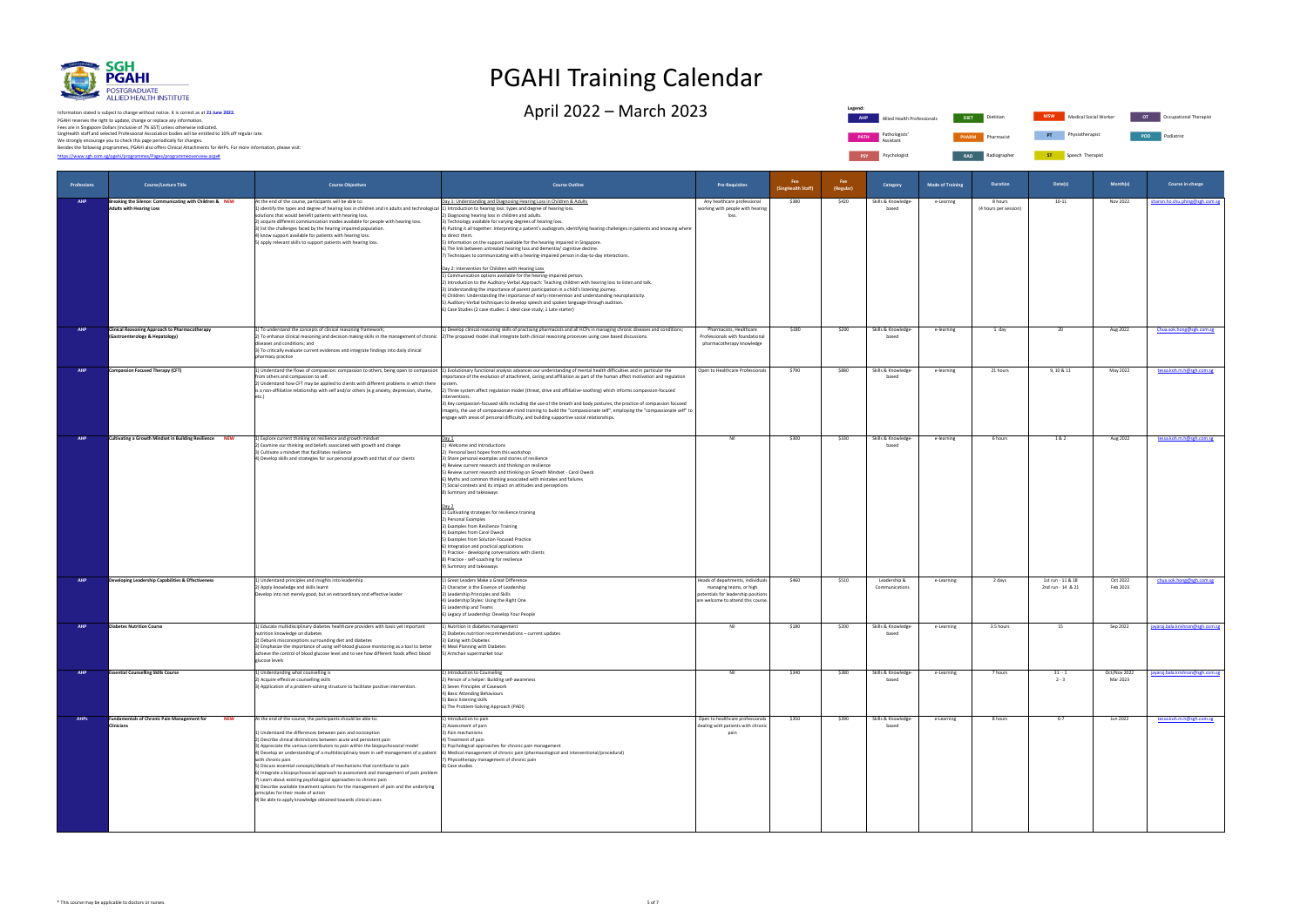

PGAHI reserves the right to update, change or replace any information.<br>Fees are in Singapore Dollars (inclusive of 7% GST) unless otherwise indicated.<br>We strongly encourage you to check this page periodically for changes.<br> Information stated is subject to change without notice. It is correct as at **21 June 2022.**

**PSY** Psychologist **RAD** Radiographer **ST** Speech Therapist **Legend: AHP Allied Health Professionals PATH** Pathologists' Assistant

# PGAHI Training Calendar

 $\Delta$ pril 2022 – March 2023 Dietitian Allied Health Professionals Merry Ott of the United Health Professionals

| <b>DIET</b>  | Dietitian  | <b>MSW</b> | Medical Social Worker | OT  | Occupational Therapist |
|--------------|------------|------------|-----------------------|-----|------------------------|
| <b>PHARM</b> | Pharmacist | PT         | Physiotherapist       | POD | Podiatrist             |

|                    |                                                                                            |                                                                                                                                                                                                                                                                                                                                                                                                                                                                                                                                                                                                                                                                                                                                                                                                                                                   |                                                                                                                                                                                                                                                                                                                                                                                                                                                                                                                                                                                                                                                                                                                                                                                                                                                                                                                                                                                                                                                                                                                                                                                                                         |                                                                                                                                           | <b>Fee</b>         | Fee       |                                |                         |                                  |                                        |                          |                                  |
|--------------------|--------------------------------------------------------------------------------------------|---------------------------------------------------------------------------------------------------------------------------------------------------------------------------------------------------------------------------------------------------------------------------------------------------------------------------------------------------------------------------------------------------------------------------------------------------------------------------------------------------------------------------------------------------------------------------------------------------------------------------------------------------------------------------------------------------------------------------------------------------------------------------------------------------------------------------------------------------|-------------------------------------------------------------------------------------------------------------------------------------------------------------------------------------------------------------------------------------------------------------------------------------------------------------------------------------------------------------------------------------------------------------------------------------------------------------------------------------------------------------------------------------------------------------------------------------------------------------------------------------------------------------------------------------------------------------------------------------------------------------------------------------------------------------------------------------------------------------------------------------------------------------------------------------------------------------------------------------------------------------------------------------------------------------------------------------------------------------------------------------------------------------------------------------------------------------------------|-------------------------------------------------------------------------------------------------------------------------------------------|--------------------|-----------|--------------------------------|-------------------------|----------------------------------|----------------------------------------|--------------------------|----------------------------------|
| <b>Professions</b> | <b>Course/Lecture Title</b>                                                                | <b>Course Objectives</b>                                                                                                                                                                                                                                                                                                                                                                                                                                                                                                                                                                                                                                                                                                                                                                                                                          | <b>Course Outline</b>                                                                                                                                                                                                                                                                                                                                                                                                                                                                                                                                                                                                                                                                                                                                                                                                                                                                                                                                                                                                                                                                                                                                                                                                   | <b>Pre-Requisites</b>                                                                                                                     | (SingHealth Staff) | (Regular) | Category                       | <b>Mode of Training</b> | <b>Duration</b>                  | Date(s)                                | Month(s)                 | Course in-charge                 |
| <b>AHP</b>         | Breaking the Silence: Communicating with Children & NEW<br><b>Adults with Hearing Loss</b> | At the end of the course, participants will be able to:<br>1) identify the types and degree of hearing loss in children and in adults and technological 1) Introduction to hearing loss: types and degree of hearing loss.<br>solutions that would benefit patients with hearing loss.<br>2) acquire different communication modes available for people with hearing loss.<br>3) list the challenges faced by the hearing impaired population.<br>4) know support available for patients with hearing loss.<br>5) apply relevant skills to support patients with hearing loss.                                                                                                                                                                                                                                                                    | Day 1: Understanding and Diagnosing Hearing Loss in Children & Adults<br>2) Diagnosing hearing loss in children and adults.<br>3) Technology available for varying degrees of hearing loss.<br>4) Putting it all together: Interpreting a patient's audiogram, identifying hearing challenges in patients and knowing where<br>to direct them.<br>5) Information on the support available for the hearing impaired in Singapore.<br>6) The link between untreated hearing loss and dementia/ cognitive decline.<br>7) Techniques to communicating with a hearing-impaired person in day-to-day interactions.<br>Day 2: Intervention for Children with Hearing Loss<br>1) Communication options available for the hearing-impaired person.<br>2) Introduction to the Auditory-Verbal Approach: Teaching children with hearing loss to listen and talk.<br>3) Understanding the importance of parent participation in a child's listening journey.<br>4) Children: Understanding the importance of early intervention and understanding neuroplasticity.<br>5) Auditory-Verbal techniques to develop speech and spoken language through audition.<br>6) Case Studies (2 case studies: 1 ideal case study; 1 Late starter) | Any healthcare professional<br>working with people with hearing<br>loss.                                                                  | \$380              | \$420     | Skills & Knowledge-<br>based   | e-Learnng               | 8 hours<br>(4 hours per session) | 10-11                                  | Nov 2022                 | sharon.ho.shu.phing@sgh.com.sg   |
| <b>AHP</b>         | <b>Clinical Reasoning Approach to Pharmacotherapy</b><br>(Gastroenterology & Hepatology)   | 1) To understand the concepts of clinical reasoning framework;<br>diseases and conditions; and<br>3) To critically evaluate current evidences and integrate findings into daily clinical<br>pharmacy practice                                                                                                                                                                                                                                                                                                                                                                                                                                                                                                                                                                                                                                     | 1) Develop clinical reasoning skills of practising pharmacists and all HCPs in managing chronic diseases and conditions;<br>2) To enhance clinical reasoning and decision making skills in the management of chronic 2) The proposed model shall integrate both clinical reasoning processes using case based discussions.                                                                                                                                                                                                                                                                                                                                                                                                                                                                                                                                                                                                                                                                                                                                                                                                                                                                                              | Pharmacists, Healthcare<br>Professionals with foundational<br>pharmacotherapy knowledge                                                   | \$180              | \$200     | Skills & Knowledge-<br>based   | e-learning              | 1 day                            | 20                                     | Aug 2022                 | Chua.sok.hong@sgh.com.sg         |
| <b>AHP</b>         | <b>Compassion Focused Therapy (CFT)</b>                                                    | from others and compassion to self.<br>2) Understand how CFT may be applied to clients with different problems in which there<br>is a non-affiliative relationship with self and/or others (e.g anxiety, depression, shame,<br>etc.).                                                                                                                                                                                                                                                                                                                                                                                                                                                                                                                                                                                                             | 1) Understand the flows of compassion: compassion to others, being open to compassion  1) Evolutionary functional analysis advances our understanding of mental health difficulties and in particular the<br>mportance of the evolution of attachment, caring and affiliation as part of the human affect motivation and regulation<br>syster<br>2) Three system affect regulation model (threat, drive and affiliative-soothing) which informs compassion-focused<br>nterventions.<br>3) Key compassion-focused skills including the use of the breath and body postures, the practice of compassion focused<br>magery, the use of compassionate mind training to build the "compassionate self", employing the "compassionate self" to<br>engage with areas of personal difficulty, and building supportive social relationships.                                                                                                                                                                                                                                                                                                                                                                                     | Open to Healthcare Professionals                                                                                                          | \$790              | \$880     | Skills & Knowledge-<br>based   | e-learning              | 21 hours                         | 9, 10 & 11                             | May 2022                 | tessa.koh.m.h@sgh.com.sg         |
| <b>AHP</b>         | <b>Cultivating a Growth Mindset in Building Resilience NEW</b>                             | 1) Explore current thinking on resilience and growth mindset<br>2) Examine our thinking and beliefs associated with growth and change<br>3) Cultivate a mindset that facilitates resilience<br>4) Develop skills and strategies for our personal growth and that of our clients                                                                                                                                                                                                                                                                                                                                                                                                                                                                                                                                                                   | Day 1<br>1) Welcome and Introductions<br>2) Personal best hopes from this workshop<br>3) Share personal examples and stories of resilience<br>4) Review current research and thinking on resilience<br>5) Review current research and thinking on Growth Mindset - Carol Dweck<br>6) Myths and common thinking associated with mistakes and failures<br>7) Social contexts and its impact on attitudes and perceptions<br>8) Summary and takeaways<br>1) Cultivating strategies for resilience training<br>2) Personal Examples<br>3) Examples from Resilience Training<br>4) Examples from Carol Dweck<br>5) Examples from Solution Focused Practice<br>6) Integration and practical applications<br>7) Practice - developing conversations with clients<br>8) Practice - self-coaching for resilience<br>9) Summary and takeaways                                                                                                                                                                                                                                                                                                                                                                                     | Nil                                                                                                                                       | \$300              | \$330     | Skills & Knowledge-<br>based   | e-learning              | 6 hours                          | 1& 2                                   | Aug 2022                 | tessa.koh.m.h@sgh.com.sg         |
| <b>AHP</b>         | Developing Leadership Capabilities & Effectiveness                                         | 1) Understand principles and insights into leadership<br>2) Apply knowledge and skills learnt<br>Develop into not merely good, but an extraordinary and effective leader                                                                                                                                                                                                                                                                                                                                                                                                                                                                                                                                                                                                                                                                          | 1) Great Leaders Make a Great Difference<br>2) Character is the Essence of Leadership<br>3) Leadership Principles and Skills<br>4) Leadership Styles: Using the Right One<br>5) Leadership and Teams<br>6) Legacy of Leadership: Develop Your People                                                                                                                                                                                                                                                                                                                                                                                                                                                                                                                                                                                                                                                                                                                                                                                                                                                                                                                                                                    | Heads of departments, individuals<br>managing teams, or high<br>potentials for leadership positions<br>are welcome to attend this course. | \$460              | \$510     | Leadership &<br>Communications | e-Learning              | 2 days                           | 1st run - 11 & 18<br>2nd run - 14 & 21 | Oct 2022<br>Feb 2023     | chua.sok.hong@sgh.com.sg         |
| <b>AHP</b>         | <b>Diabetes Nutrition Course</b>                                                           | 1) Educate multidisciplinary diabetes healthcare providers with basic yet important<br>utrition knowledge on diabetes<br>2) Debunk misconceptions surrounding diet and diabetes<br>3) Emphasize the importance of using self-blood glucose monitoring as a tool to better<br>achieve the control of blood glucose level and to see how different foods affect blood<br>glucose levels                                                                                                                                                                                                                                                                                                                                                                                                                                                             | 1) Nutrition in diabetes management<br>2) Diabetes nutrition recommendations - current updates<br>3) Eating with Diabetes<br>4) Meal Planning with Diabetes<br>5) Armchair supermarket tour                                                                                                                                                                                                                                                                                                                                                                                                                                                                                                                                                                                                                                                                                                                                                                                                                                                                                                                                                                                                                             | Nil                                                                                                                                       | \$180              | \$200     | Skills & Knowledge-<br>based   | e-Learning              | 3.5 hours                        | 15                                     | Sep 2022                 | jayaraj.bala.krishnan@sgh.com.sg |
| <b>AHP</b>         | <b>Essential Counselling Skills Course</b>                                                 | 1) Understanding what counselling is<br>2) Acquire effective counselling skills<br>3) Application of a problem-solving structure to facilitate positive intervention.                                                                                                                                                                                                                                                                                                                                                                                                                                                                                                                                                                                                                                                                             | 1) Introduction to Counseling<br>2) Person of a helper: Building self-awareness<br>3) Seven Principles of Casework<br>4) Basic Attending Behaviours<br>5) Basic listening skills<br>6) The Problem-Solving Approach (PADI)                                                                                                                                                                                                                                                                                                                                                                                                                                                                                                                                                                                                                                                                                                                                                                                                                                                                                                                                                                                              | Nil                                                                                                                                       | \$340              | \$380     | Skills & Knowledge-<br>based   | e-Learning              | 7 hours                          | $31 - 1$<br>$2 - 3$                    | Oct/Nov 2022<br>Mar 2023 | jayaraj.bala.krishnan@sgh.com.sg |
| <b>AHPs</b>        | <b>Fundamentals of Chronic Pain Management for</b><br><b>NEW</b><br><b>Clinicians</b>      | At the end of the course, the participants should be able to:<br>1) Understand the differences between pain and nociception<br>2) Describe clinical distinctions between acute and persistent pain<br>3) Appreciate the various contributors to pain within the biopsychosocial model<br>4) Develop an understanding of a multidisciplinary team in self-management of a patient<br>with chronic pain<br>5) Discuss essential concepts/details of mechanisms that contribute to pain<br>6) Integrate a biopsychosocial approach to assessment and management of pain problem<br>7) Learn about existing psychological approaches to chronic pain<br>8) Describe available treatment options for the management of pain and the underlying<br>principles for their mode of action<br>9) Be able to apply knowledge obtained towards clinical cases | 1) Introduction to pain<br>2) Assessment of pain<br>3) Pain mechanisms<br>4) Treatment of pain<br>5) Psychological approaches for chronic pain management<br>6) Medical management of chronic pain (pharmacological and interventional/procedural)<br>7) Physiotherapy management of chronic pain<br>8) Case studies                                                                                                                                                                                                                                                                                                                                                                                                                                                                                                                                                                                                                                                                                                                                                                                                                                                                                                    | Open to healthcare professionals<br>dealing with patients with chronic<br>pain                                                            | \$350              | \$390     | Skills & Knowledge-<br>based   | e-Learning              | 8 hours                          | $6 - 7$                                | Jun 2022                 | tessa.koh.m.h@sgh.com.sg         |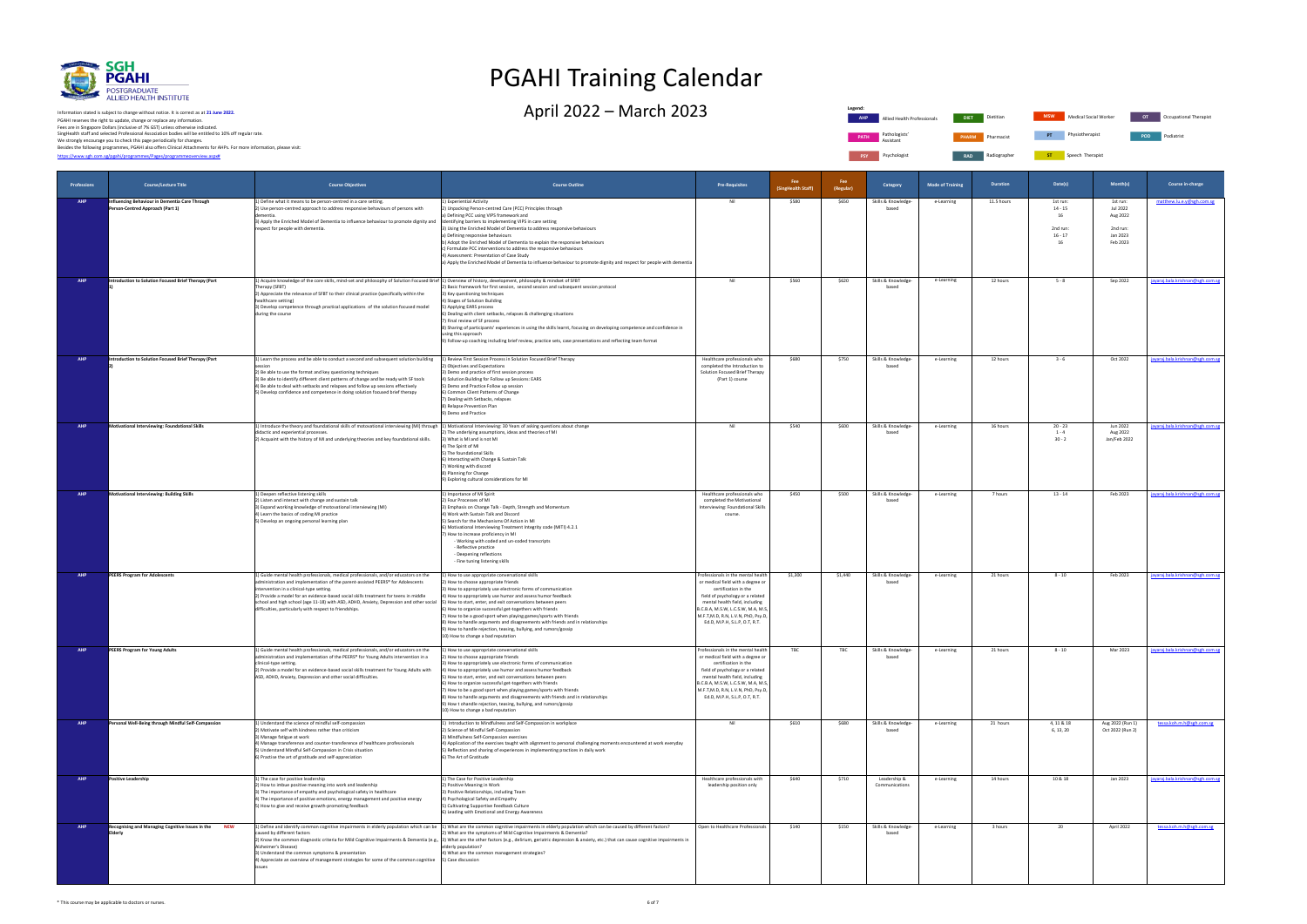

PGAHI reserves the right to update, change or replace any information.<br>Fees are in Singapore Dollars (inclusive of 7% GST) unless otherwise indicated.<br>We strongly encourage you to check this page periodically for changes.<br> Information stated is subject to change without notice. It is correct as at **21 June 2022.**

**Legend: Allied Health Professionals PATH** Pathologists' Assistant **PSY** Psychologist **RAD Radiographer** 

# PGAHI Training Calendar

 $\Delta$ pril 2022 – March 2023 Dietitian Allied Health Professionals Dietitian Allied Health Professionals Dietitian Inc.

| <b>DIET</b>  | <b>Dietitian</b> | <b>MSW</b> | Medical Social Worker | OT         | Occupational Therapist |
|--------------|------------------|------------|-----------------------|------------|------------------------|
| <b>PHARM</b> | Pharmacist       | PT         | Physiotherapist       | <b>POD</b> | Podiatrist             |

**Radiographs** Speech Therapist

| Professions | <b>Course/Lecture Title</b>                                                       | <b>Course Objectives</b>                                                                                                                                                                                                                                                                                                                                                                                                                                          | <b>Course Outline</b>                                                                                                                                                                                                                                                                                                                                                                                                                                                                                                                                                                                                                         | <b>Pre-Requisites</b>                                                                                                                                                                                                                                                              | <b>Fee</b><br>(SingHealth Staff) | Fee<br>(Regular) | Category                       | <b>Mode of Training</b> | <b>Duration</b> | Date(s)                                                    | Month(s)                                                             | Course in-charge                 |
|-------------|-----------------------------------------------------------------------------------|-------------------------------------------------------------------------------------------------------------------------------------------------------------------------------------------------------------------------------------------------------------------------------------------------------------------------------------------------------------------------------------------------------------------------------------------------------------------|-----------------------------------------------------------------------------------------------------------------------------------------------------------------------------------------------------------------------------------------------------------------------------------------------------------------------------------------------------------------------------------------------------------------------------------------------------------------------------------------------------------------------------------------------------------------------------------------------------------------------------------------------|------------------------------------------------------------------------------------------------------------------------------------------------------------------------------------------------------------------------------------------------------------------------------------|----------------------------------|------------------|--------------------------------|-------------------------|-----------------|------------------------------------------------------------|----------------------------------------------------------------------|----------------------------------|
| <b>AHP</b>  | nfluencing Behaviour in Dementia Care Through<br>Person-Centred Approach (Part 1) | 1) Define what it means to be person-centred in a care setting.<br>2) Use person-centred approach to address responsive behaviours of persons with<br>ementia<br>3) Apply the Enriched Model of Dementia to influence behaviour to promote dignity and<br>respect for people with dementia.                                                                                                                                                                       | 1) Experiential Activity<br>2) Unpacking Person-centred Care (PCC) Principles through<br>a) Defining PCC using VIPS framework and<br>Identifying barriers to implementing VIPS in care setting<br>3) Using the Enriched Model of Dementia to address responsive behaviours<br>a) Defining responsive behaviours<br>b) Adopt the Enriched Model of Dementia to explain the responsive behaviours<br>c) Formulate PCC interventions to address the responsive behaviours<br>4) Assessment: Presentation of Case Study<br>a) Apply the Enriched Model of Dementia to influence behaviour to promote dignity and respect for people with dementia | Nil                                                                                                                                                                                                                                                                                | \$580                            | \$650            | Skills & Knowledge-<br>based   | e-Learning              | 11.5 hours      | 1st run:<br>$14 - 15$<br>16<br>2nd run:<br>$16 - 17$<br>16 | 1st run:<br>Jul 2022<br>Aug 2022<br>2nd run:<br>Jan 2023<br>Feb 2023 | matthew.lu.e.y@sgh.com.sg        |
| AHP         | <b>Introduction to Solution Focused Brief Therapy (Part</b>                       | 1) Acquire knowledge of the core skills, mind-set and philosophy of Solution Focused Brief $ 1\rangle$ Overview of history, development, philosophy & mindset of SFBT<br>Therapy (SFBT)<br>2) Appreciate the relevance of SFBT to their clinical practice (specifically within the<br>healthcare setting)<br>3) Develop competence through practical applications of the solution focused model<br>during the course                                              | 2) Basic framework for first session, second session and subsequent session protocol<br>3) Key questioning techniques<br>4) Stages of Solution Building<br>5) Applying EARS process<br>6) Dealing with client setbacks, relapses & challenging situations<br>7) Final review of SF process<br>8) Sharing of participants' experiences in using the skills learnt, focusing on developing competence and confidence in<br>using this approach<br>9) Follow-up coaching including brief review, practice sets, case presentations and reflecting team format                                                                                    | Nil                                                                                                                                                                                                                                                                                | \$560                            | \$620            | Skills & Knowledge-<br>based   | e-Learning              | 12 hours        | $5 - 8$                                                    | Sep 2022                                                             | jayaraj.bala.krishnan@sgh.com.sg |
| AHP         | Introduction to Solution Focused Brief Therapy (Part                              | 1) Learn the process and be able to conduct a second and subsequent solution building<br>2) Be able to use the format and key questioning techniques<br>3) Be able to identify different client patterns of change and be ready with SF tools<br>4) Be able to deal with setbacks and relapses and follow up sessions effectively<br>5) Develop confidence and competence in doing solution focused brief therapy                                                 | 1) Review First Session Process in Solution Focused Brief Therapy<br>2) Objectives and Expectations<br>3) Demo and practice of first session process<br>4) Solution Building for Follow up Sessions: EARS<br>5) Demo and Practice Follow up session<br>6) Common Client Patterns of Change<br>7) Dealing with Setbacks, relapses<br>8) Relapse Prevention Plan<br>9) Demo and Practice                                                                                                                                                                                                                                                        | Healthcare professionals who<br>completed the Introduction to<br>Solution Focused Brief Therapy<br>(Part 1) course                                                                                                                                                                 | \$680                            | \$750            | Skills & Knowledge-<br>based   | e-Learning              | 12 hours        | $3 - 6$                                                    | Oct 2022                                                             | jayaraj.bala.krishnan@sgh.com.sg |
| AHP         | Motivational Interviewing: Foundational Skills                                    | 1) Introduce the theory and foundational skills of motovational interviewing (MI) through 1) Motivational Interviewing: 30 Years of asking questions about change<br>didactic and experiential processes.<br>2) Acquaint with the history of MI and underlying theories and key foundational skills.                                                                                                                                                              | 2) The underlying assumptions, ideas and theories of MI<br>3) What is MI and is not MI<br>4) The Spirit of MI<br>5) The foundational Skills<br>6) Interacting with Change & Sustain Talk<br>7) Working with discord<br>8) Planning for Change<br>9) Exploring cultural considerations for MI                                                                                                                                                                                                                                                                                                                                                  | Nil                                                                                                                                                                                                                                                                                | \$540                            | \$600            | Skills & Knowledge-<br>based   | e-Learning              | 16 hours        | $20 - 23$<br>$1 - 4$<br>$30 - 2$                           | Jun 2022<br>Aug 2022<br>Jan/Feb 2022                                 | jayaraj.bala.krishnan@sgh.com.sg |
| AHP         | Motivational Interviewing: Building Skills                                        | 1) Deepen reflective listening skills<br>2) Listen and interact with change and sustain talk<br>3) Expand working knowledge of motovational interviewing (MI)<br>4) Learn the basics of coding MI practice<br>5) Develop an ongoing personal learning plan                                                                                                                                                                                                        | 1) Importance of MI Spirit<br>2) Four Processes of MI<br>3) Emphasis on Change Talk - Depth, Strength and Momentum<br>4) Work with Sustain Talk and Discord<br>5) Search for the Mechanisms Of Action in MI<br>6) Motivational Interviewing Treatment Integrity code (MITI) 4.2.1<br>7) How to increase proficiency in MI<br>- Working with coded and un-coded transcripts<br>- Reflective practice<br>- Deepening reflections<br>- Fine tuning listening skills                                                                                                                                                                              | Healthcare professionals who<br>completed the Motivational<br>Interviewing: Foundational Skills<br>course.                                                                                                                                                                         | \$450                            | \$500            | Skills & Knowledge-<br>based   | e-Learning              | 7 hours         | $13 - 14$                                                  | Feb 2023                                                             | jayaraj.bala.krishnan@sgh.com.sg |
|             | <b>PEERS Program for Adolescents</b>                                              | 1) Guide mental health professionals, medical professionals, and/or educators on the<br>administration and implementation of the parent-assisted PEERS® for Adolescents<br>intervention in a clinical-type setting.<br>2) Provide a model for an evidence-based social skills treatment for teens in middle<br>school and high school (age 11-18) with ASD, ADHD, Anxiety, Depression and other social<br>difficulties, particularly with respect to friendships. | 1) How to use appropriate conversational skills<br>2) How to choose appropriate friends<br>3) How to appropriately use electronic forms of communication<br>4) How to appropriately use humor and assess humor feedback<br>5) How to start, enter, and exit conversations between peers<br>6) How to organize successful get-togethers with friends<br>7) How to be a good sport when playing games/sports with friends<br>8) How to handle arguments and disagreements with friends and in relationships<br>9) How to handle rejection, teasing, bullying, and rumors/gossip<br>10) How to change a bad reputation                           | Professionals in the mental health<br>or medical field with a degree or<br>certification in the<br>field of psychology or a related<br>mental health field, including<br>B.C.B.A, M.S.W, L.C.S.W, M.A, M.S,<br>M.F.T,M.D, R.N, L.V.N, PhD, Psy.D,<br>Ed.D, M.P.H, S.L.P, O.T, R.T. | \$1,300                          | \$1,440          | Skills & Knowledge-<br>based   | e-Learning              | 21 hours        | $8 - 10$                                                   | Feb 2023                                                             | jayaraj.bala.krishnan@sgh.com.sg |
| AHP         | PEERS Program for Young Adults                                                    | 1) Guide mental health professionals, medical professionals, and/or educators on the<br>ministration and implementation of the PEERS® for Young Adults intervention in a<br>clinical-type setting.<br>2) Provide a model for an evidence-based social skills treatment for Young Adults with<br>ASD, ADHD, Anxiety, Depression and other social difficulties.                                                                                                     | 1) How to use appropriate conversational skills<br>2) How to choose appropriate friends<br>3) How to appropriately use electronic forms of communication<br>4) How to appropriately use humor and assess humor feedback<br>5) How to start, enter, and exit conversations between peers<br>6) How to organize successful get-togethers with friends<br>7) How to be a good sport when playing games/sports with friends<br>8) How to handle arguments and disagreements with friends and in relationships<br>9) How t ohandle rejection, teasing, bullying, and rumors/gossip<br>10) How to change a bad reputation                           | Professionals in the mental health<br>or medical field with a degree or<br>certification in the<br>field of psychology or a related<br>mental health field, including<br>B.C.B.A, M.S.W, L.C.S.W, M.A, M.S,<br>M.F.T,M.D, R.N, L.V.N, PhD, Psy.D,<br>Ed.D, M.P.H, S.L.P, O.T, R.T. | TBC                              | TBC              | Skills & Knowledge-<br>based   | e-Learning              | 21 hours        | $8 - 10$                                                   | Mar 2023                                                             | jayaraj.bala.krishnan@sgh.com.sg |
| AHP         | Personal Well-Being through Mindful Self-Compassion                               | 1) Understand the science of mindful self-compassion<br>2) Motivate self with kindness rather than criticism<br>3) Manage fatigue at work<br>4) Manage transference and counter-transference of healthcare professionals<br>5) Understand Mindful Self-Compassion in Crisis situation<br>6) Practise the art of gratitude and self-appreciation                                                                                                                   | 1) Introduction to Mindfulness and Self-Compassion in workplace<br>2) Science of Mindful Self-Compassion<br>3) Mindfulness Self-Compassion exercises<br>4) Application of the exercises taught with alignment to personal challenging moments encountered at work everyday<br>5) Reflection and sharing of experiences in implementing practices in daily work<br>6) The Art of Gratitude                                                                                                                                                                                                                                                     | Nil                                                                                                                                                                                                                                                                                | \$610                            | \$680            | Skills & Knowledge-<br>based   | e-Learning              | 21 hours        | 4, 11 & 18<br>6, 13, 20                                    | Aug 2022 (Run 1)<br>Oct 2022 (Run 2)                                 | tessa.koh.m.h@sgh.com.sg         |
| AHP         | <b>Positive Leadership</b>                                                        | 1) The case for positive leadership<br>2) How to imbue positive meaning into work and leadership<br>3) The importance of empathy and psychological safety in healthcare<br>4) The importance of positive emotions, energy management and positive energy<br>5) How to give and receive growth-promoting feedback                                                                                                                                                  | 1) The Case for Positive Leadership<br>2) Positive Meaning in Work<br>3) Positive Relationships, including Team<br>4) Psychological Safety and Empathy<br>5) Cultivating Supportive Feedback Culture<br>6) Leading with Emotional and Energy Awareness                                                                                                                                                                                                                                                                                                                                                                                        | Healthcare professionals with<br>leadership position only                                                                                                                                                                                                                          | \$640                            | \$710            | Leadership &<br>Communications | e-Learning              | 14 hours        | 10 & 18                                                    | Jan 2023                                                             | jayaraj.bala.krishnan@sgh.com.sg |
| AHP         | Recognising and Managing Cognitive Issues in the NEW<br>Elderly                   | caused by different factors<br>Alzheimer's Disease)<br>3) Understand the common symptoms & presentation<br>4) Appreciate an overview of management strategies for some of the common cognitive [5] Case discussion                                                                                                                                                                                                                                                | 1) Define and identify common cognitive impairments in elderly population which can be 1) What are the common cognitive impairments in elderly population which can be caused by different factors?<br>What are the symptoms of Mild Cognitive Impairments & Dementia?<br>2) Know the common diagnostic criteria for Mild Cognitive Impairments & Dementia (e.g.,  3) What are the other factors (e.g., delirium, geriatric depression & anxiety, etc.) that can cause cognitive impairments in<br>elderly population?<br>4) What are the common management strategies?                                                                       | Open to Healthcare Professionals                                                                                                                                                                                                                                                   | \$140                            | \$150            | Skills & Knowledge-<br>based   | e-Learning              | 3 hours         | 20                                                         | April 2022                                                           | tessa.koh.m.h@sgh.com.sg         |